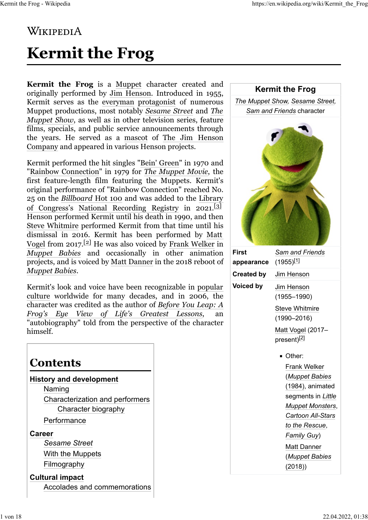# **WIKIPEDIA**

# **Kermit the Frog**

**Kermit the Frog** is a [Muppet](https://en.wikipedia.org/wiki/The_Muppets) character created and originally performed by [Jim Henson.](https://en.wikipedia.org/wiki/Jim_Henson) Introduced in 1955, Kermit serves as the [everyman](https://en.wikipedia.org/wiki/Everyman) [protagonist](https://en.wikipedia.org/wiki/Protagonist) of numerous Muppet productions, most notably *[Sesame Street](https://en.wikipedia.org/wiki/Sesame_Street)* and *[The](https://en.wikipedia.org/wiki/The_Muppet_Show) [Muppet Show](https://en.wikipedia.org/wiki/The_Muppet_Show)*, as well as in other television series, feature films, specials, and public service announcements through the years. He served as a [mascot](https://en.wikipedia.org/wiki/Mascot) of [The Jim Henson](https://en.wikipedia.org/wiki/The_Jim_Henson_Company) [Company](https://en.wikipedia.org/wiki/The_Jim_Henson_Company) and appeared in various Henson projects.

Kermit performed the hit singles ["Bein' Green"](https://en.wikipedia.org/wiki/Bein%27_Green) in 1970 and ["Rainbow Connection"](https://en.wikipedia.org/wiki/Rainbow_Connection) in 1979 for *[The Muppet Movie](https://en.wikipedia.org/wiki/The_Muppet_Movie)*, the first feature-length film featuring the Muppets. Kermit's original performance of "Rainbow Connection" reached No. 25 on the *[Billboard](https://en.wikipedia.org/wiki/Billboard_Hot_100)* [Hot 100](https://en.wikipedia.org/wiki/Billboard_Hot_100) and was added to the [Library](https://en.wikipedia.org/wiki/Library_of_Congress) [of Congress'](https://en.wikipedia.org/wiki/Library_of_Congress)s [National Recording Registry](https://en.wikipedia.org/wiki/National_Recording_Registry) in 2021.[\[3\]](https://en.wikipedia.org/wiki/Kermit_the_Frog#cite_note-3) Henson performed Kermit until his death in 1990, and then [Steve Whitmire](https://en.wikipedia.org/wiki/Steve_Whitmire) performed Kermit from that time until his dismissal in 2016. Kermit has been performed by [Matt](https://en.wikipedia.org/wiki/Matt_Vogel_(puppeteer)) [Vogel](https://en.wikipedia.org/wiki/Matt_Vogel_(puppeteer)) from 2017.<sup>[\[2\]](https://en.wikipedia.org/wiki/Kermit_the_Frog#cite_note-VogelFrog-2)</sup> He was also voiced by [Frank Welker](https://en.wikipedia.org/wiki/Frank_Welker) in *[Muppet Babies](https://en.wikipedia.org/wiki/Muppet_Babies_(1984_TV_series))* and occasionally in other animation projects, and is voiced by [Matt Danner](https://en.wikipedia.org/wiki/Matt_Danner) in the 2018 reboot of *[Muppet Babies](https://en.wikipedia.org/wiki/Muppet_Babies_(2018_TV_series))*.

Kermit's look and voice have been recognizable in [popular](https://en.wikipedia.org/wiki/Popular_culture) [culture](https://en.wikipedia.org/wiki/Popular_culture) worldwide for many decades, and in 2006, the character was credited as the author of *[Before You Leap: A](https://en.wikipedia.org/wiki/Before_You_Leap)* [Frog's Eye View of Life's Greatest Lessons](https://en.wikipedia.org/wiki/Before_You_Leap), "autobiography" told from the perspective of the character himself.

### **Contents**

**[History and development](https://en.wikipedia.org/wiki/Kermit_the_Frog#History_and_development)** [Naming](https://en.wikipedia.org/wiki/Kermit_the_Frog#Naming) [Characterization and performers](https://en.wikipedia.org/wiki/Kermit_the_Frog#Characterization_and_performers) [Character biography](https://en.wikipedia.org/wiki/Kermit_the_Frog#Character_biography)

**[Performance](https://en.wikipedia.org/wiki/Kermit_the_Frog#Performance)** 

#### **[Career](https://en.wikipedia.org/wiki/Kermit_the_Frog#Career)**

*[Sesame Street](https://en.wikipedia.org/wiki/Kermit_the_Frog#Sesame_Street)* [With the Muppets](https://en.wikipedia.org/wiki/Kermit_the_Frog#With_the_Muppets) [Filmography](https://en.wikipedia.org/wiki/Kermit_the_Frog#Filmography)

**[Cultural impact](https://en.wikipedia.org/wiki/Kermit_the_Frog#Cultural_impact)**

[Accolades and commemorations](https://en.wikipedia.org/wiki/Kermit_the_Frog#Accolades_and_commemorations)

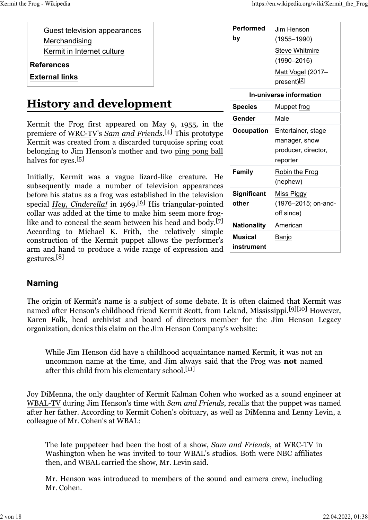[Guest television appearances](https://en.wikipedia.org/wiki/Kermit_the_Frog#Guest_television_appearances) [Merchandising](https://en.wikipedia.org/wiki/Kermit_the_Frog#Merchandising) [Kermit in Internet culture](https://en.wikipedia.org/wiki/Kermit_the_Frog#Kermit_in_Internet_culture)

**[References](https://en.wikipedia.org/wiki/Kermit_the_Frog#References)**

**[External links](https://en.wikipedia.org/wiki/Kermit_the_Frog#External_links)**

## **History and development**

Kermit the Frog first appeared on May 9, 1955, in the premiere of [WRC-TV](https://en.wikipedia.org/wiki/WRC-TV)'s *[Sam and Friends](https://en.wikipedia.org/wiki/Sam_and_Friends)*. [\[4\]](https://en.wikipedia.org/wiki/Kermit_the_Frog#cite_note-Siemaszko-4) This prototype Kermit was created from a discarded turquoise spring coat belonging to Jim Henson's mother and two [ping pong ball](https://en.wikipedia.org/wiki/Ping_pong_ball) halves for eyes.<sup>[\[5\]](https://en.wikipedia.org/wiki/Kermit_the_Frog#cite_note-Zongker-5)</sup>

Initially, Kermit was a vague [lizard-](https://en.wikipedia.org/wiki/Lizard)like creature. He subsequently made a number of television appearances before his status as a [frog](https://en.wikipedia.org/wiki/Frog) was established in the television special *[Hey, Cinderella!](https://en.wikipedia.org/wiki/Hey,_Cinderella!)* in 1969.<sup>[\[6\]](https://en.wikipedia.org/wiki/Kermit_the_Frog#cite_note-6)</sup> His triangular-pointed collar was added at the time to make him seem more frog-like and to conceal the seam between his head and body.<sup>[\[7\]](https://en.wikipedia.org/wiki/Kermit_the_Frog#cite_note-7)</sup> According to [Michael K. Frith,](https://en.wikipedia.org/wiki/Michael_K._Frith) the relatively simple construction of the Kermit puppet allows the performer's arm and hand to produce a wide range of expression and gestures.<sup>[\[8\]](https://en.wikipedia.org/wiki/Kermit_the_Frog#cite_note-:3-8)</sup>

| Performed<br>by              | Jim Henson<br>(1955–1990)<br><b>Steve Whitmire</b><br>$(1990 - 2016)$<br>Matt Vogel (2017-<br>present) <sup>[2]</sup> |
|------------------------------|-----------------------------------------------------------------------------------------------------------------------|
| In-universe information      |                                                                                                                       |
| <b>Species</b>               | Muppet frog                                                                                                           |
| Gender                       | Male                                                                                                                  |
| <b>Occupation</b>            | Entertainer, stage<br>manager, show<br>producer, director,<br>reporter                                                |
| <b>Family</b>                | Robin the Frog<br>(nephew)                                                                                            |
| <b>Significant</b><br>other  | Miss Piggy<br>(1976-2015; on-and-<br>off since)                                                                       |
| <b>Nationality</b>           | American                                                                                                              |
| <b>Musical</b><br>instrument | Banjo                                                                                                                 |

#### **Naming**

The origin of Kermit's name is a subject of some debate. It is often claimed that Kermit was named after Henson's childhood friend [Kermit Scott,](https://en.wikipedia.org/wiki/Kermit_Scott) from [Leland, Mississippi.](https://en.wikipedia.org/wiki/Leland,_Mississippi)<sup>[\[9\]](https://en.wikipedia.org/wiki/Kermit_the_Frog#cite_note-ddt-9)[\[10\]](https://en.wikipedia.org/wiki/Kermit_the_Frog#cite_note-usatoday-10)</sup> However, Karen Falk, head archivist and board of directors member for the Jim Henson Legacy organization, denies this claim on the [Jim Henson Company](https://en.wikipedia.org/wiki/Jim_Henson_Company)'s website:

While Jim Henson did have a childhood acquaintance named Kermit, it was not an uncommon name at the time, and Jim always said that the Frog was **not** named after this child from his elementary school. $[11]$ 

Joy DiMenna, the only daughter of Kermit Kalman Cohen who worked as a sound engineer at [WBAL-TV](https://en.wikipedia.org/wiki/WBAL-TV) during Jim Henson's time with *Sam and Friends*, recalls that the puppet was named after her father. According to Kermit Cohen's obituary, as well as DiMenna and Lenny Levin, a colleague of Mr. Cohen's at WBAL:

The late puppeteer had been the host of a show, *Sam and Friends*, at WRC-TV in Washington when he was invited to tour WBAL's studios. Both were NBC affiliates then, and WBAL carried the show, Mr. Levin said.

Mr. Henson was introduced to members of the sound and camera crew, including Mr. Cohen.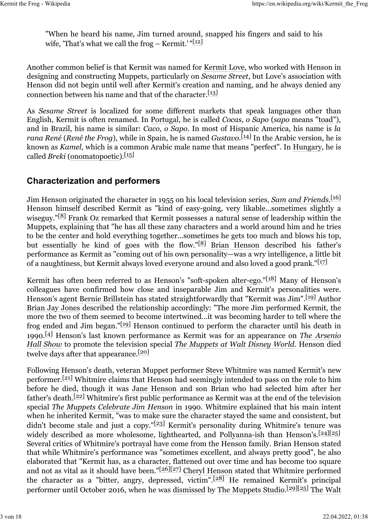"When he heard his name, Jim turned around, snapped his fingers and said to his wife, 'That's what we call the frog – Kermit.' " $[12]$ 

Another common belief is that Kermit was named for [Kermit Love,](https://en.wikipedia.org/wiki/Kermit_Love) who worked with Henson in designing and constructing Muppets, particularly on *Sesame Street*, but Love's association with Henson did not begin until well after Kermit's creation and naming, and he always denied any connection between his name and that of the character.<sup>[\[13\]](https://en.wikipedia.org/wiki/Kermit_the_Frog#cite_note-13)</sup>

As *Sesame Street* is localized for some different markets that speak languages other than English, Kermit is often renamed. In [Portugal,](https://en.wikipedia.org/wiki/Portugal) he is called *Cocas, o Sapo* (*sapo* means ["toad"](https://en.wikipedia.org/wiki/Toad)), and in [Brazil,](https://en.wikipedia.org/wiki/Brazil) his name is similar: *Caco, o Sapo*. In most of Hispanic America, his name is *la rana René* (*René the Frog*), while in Spain, he is named *Gustavo*. [\[14\]](https://en.wikipedia.org/wiki/Kermit_the_Frog#cite_note-14) In the Arabic version, he is known as *Kamel*, which is a common Arabic male name that means "perfect". In [Hungary,](https://en.wikipedia.org/wiki/Hungary) he is called *Breki* [\(onomatopoetic\)](https://en.wikipedia.org/wiki/Onomatopoetic).[\[15\]](https://en.wikipedia.org/wiki/Kermit_the_Frog#cite_note-15)

#### **Characterization and performers**

Jim Henson originated the character in 1955 on his local television series, *[Sam and Friends](https://en.wikipedia.org/wiki/Sam_and_Friends)*. [\[16\]](https://en.wikipedia.org/wiki/Kermit_the_Frog#cite_note-16) Henson himself described Kermit as "kind of easy-going, very likable...sometimes slightly a wiseguy." $[8]$  [Frank Oz](https://en.wikipedia.org/wiki/Frank_Oz) remarked that Kermit possesses a natural sense of leadership within the Muppets, explaining that "he has all these zany characters and a world around him and he tries to be the center and hold everything together...sometimes he gets too much and blows his top, but essentially he kind of goes with the flow." $[8]$  [Brian Henson](https://en.wikipedia.org/wiki/Brian_Henson) described his father's performance as Kermit as "coming out of his own personality—was a wry intelligence, a little bit of a naughtiness, but Kermit always loved everyone around and also loved a good prank." $[17]$ 

Kermit has often been referred to as Henson's "soft-spoken [alter-ego.](https://en.wikipedia.org/wiki/Alter_ego)"[\[18\]](https://en.wikipedia.org/wiki/Kermit_the_Frog#cite_note-18) Many of Henson's colleagues have confirmed how close and inseparable Jim and Kermit's personalities were. Henson's agent [Bernie Brillstein](https://en.wikipedia.org/wiki/Bernie_Brillstein) has stated straightforwardly that "Kermit was Jim".[\[19\]](https://en.wikipedia.org/wiki/Kermit_the_Frog#cite_note-:1-19) Author [Brian Jay Jones](https://en.wikipedia.org/wiki/Brian_Jay_Jones) described the relationship accordingly: "The more Jim performed Kermit, the more the two of them seemed to become intertwined…it was becoming harder to tell where the frog ended and Jim began."[\[19\]](https://en.wikipedia.org/wiki/Kermit_the_Frog#cite_note-:1-19) Henson continued to perform the character until his death in 1990.[\[4\]](https://en.wikipedia.org/wiki/Kermit_the_Frog#cite_note-Siemaszko-4) Henson's last known performance as Kermit was for an appearance on *[The Arsenio](https://en.wikipedia.org/wiki/The_Arsenio_Hall_Show) [Hall Show](https://en.wikipedia.org/wiki/The_Arsenio_Hall_Show)* to promote the television special *[The Muppets at Walt Disney World](https://en.wikipedia.org/wiki/The_Muppets_at_Walt_Disney_World)*. Henson died twelve days after that appearance.<sup>[\[20\]](https://en.wikipedia.org/wiki/Kermit_the_Frog#cite_note-20)</sup>

Following Henson's death, veteran Muppet performer [Steve Whitmire](https://en.wikipedia.org/wiki/Steve_Whitmire) was named Kermit's new performer.<sup>[21]</sup> Whitmire claims that Henson had seemingly intended to pass on the role to him before he died, though it was [Jane Henson](https://en.wikipedia.org/wiki/Jane_Henson) and son Brian who had selected him after her father's death.[\[22\]](https://en.wikipedia.org/wiki/Kermit_the_Frog#cite_note-22) Whitmire's first public performance as Kermit was at the end of the television special *[The Muppets Celebrate Jim Henson](https://en.wikipedia.org/wiki/The_Muppets_Celebrate_Jim_Henson)* in 1990. Whitmire explained that his main intent when he inherited Kermit, "was to make sure the character stayed the same and consistent, but didn't become stale and just a copy." $[23]$  Kermit's personality during Whitmire's tenure was widely described as more wholesome, lighthearted, and [Pollyanna-ish](https://en.wikipedia.org/wiki/Pollyanna_principle) than Henson's.<sup>[\[24\]](https://en.wikipedia.org/wiki/Kermit_the_Frog#cite_note-24)[\[25\]](https://en.wikipedia.org/wiki/Kermit_the_Frog#cite_note-:2-25)</sup> Several critics of Whitmire's portrayal have come from the Henson family. Brian Henson stated that while Whitmire's performance was "sometimes excellent, and always pretty good", he also elaborated that "Kermit has, as a character, flattened out over time and has become too square and not as vital as it should have been."<sup>[\[26\]](https://en.wikipedia.org/wiki/Kermit_the_Frog#cite_note-:0-26)[\[27\]](https://en.wikipedia.org/wiki/Kermit_the_Frog#cite_note-Parker-27)</sup> [Cheryl Henson](https://en.wikipedia.org/wiki/Cheryl_Henson) stated that Whitmire performed the character as a "bitter, angry, depressed, victim".[\[28\]](https://en.wikipedia.org/wiki/Kermit_the_Frog#cite_note-28) He remained Kermit's principal performer until October 2016, when he was [dismissed](https://en.wikipedia.org/wiki/Dismissal_(employment)) by [The Muppets Studio.](https://en.wikipedia.org/wiki/The_Muppets_Studio)[\[29\]](https://en.wikipedia.org/wiki/Kermit_the_Frog#cite_note-29)[\[25\]](https://en.wikipedia.org/wiki/Kermit_the_Frog#cite_note-:2-25) [The Walt](https://en.wikipedia.org/wiki/The_Walt_Disney_Company)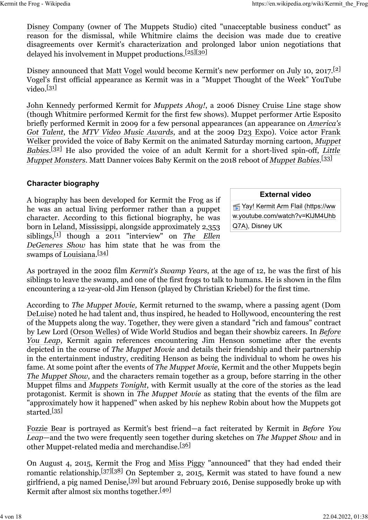[Disney Company](https://en.wikipedia.org/wiki/The_Walt_Disney_Company) (owner of The Muppets Studio) cited "unacceptable business conduct" as reason for the dismissal, while Whitmire claims the decision was made due to creative disagreements over Kermit's characterization and prolonged labor union negotiations that delayed his involvement in Muppet productions.<sup>[\[25\]](https://en.wikipedia.org/wiki/Kermit_the_Frog#cite_note-:2-25)[\[30\]](https://en.wikipedia.org/wiki/Kermit_the_Frog#cite_note-30)</sup>

Disney announced that [Matt Vogel](https://en.wikipedia.org/wiki/Matt_Vogel_(puppeteer)) would become Kermit's new performer on July 10, 2017.<sup>[\[2\]](https://en.wikipedia.org/wiki/Kermit_the_Frog#cite_note-VogelFrog-2)</sup> Vogel's first official appearance as Kermit was in a "Muppet Thought of the Week" YouTube video. $[31]$ 

[John Kennedy](https://en.wikipedia.org/wiki/John_Kennedy_(puppeteer)) performed Kermit for *Muppets Ahoy!*, a 2006 [Disney Cruise Line](https://en.wikipedia.org/wiki/Disney_Cruise_Line) stage show (though Whitmire performed Kermit for the first few shows). Muppet performer Artie Esposito briefly performed Kermit in 2009 for a few personal appearances (an appearance on *[America's](https://en.wikipedia.org/wiki/America%27s_Got_Talent) [Got Talent](https://en.wikipedia.org/wiki/America%27s_Got_Talent)*, the *[MTV Video Music Awards](https://en.wikipedia.org/wiki/MTV_Video_Music_Awards)*, and at the 2009 [D23 Expo\)](https://en.wikipedia.org/wiki/D23_Expo). Voice actor [Frank](https://en.wikipedia.org/wiki/Frank_Welker) [Welker](https://en.wikipedia.org/wiki/Frank_Welker) provided the voice of Baby Kermit on the animated Saturday morning cartoon, *[Muppet](https://en.wikipedia.org/wiki/Muppet_Babies_(1984_TV_series)) [Babies](https://en.wikipedia.org/wiki/Muppet_Babies_(1984_TV_series))*. [\[32\]](https://en.wikipedia.org/wiki/Kermit_the_Frog#cite_note-32) He also provided the voice of an adult Kermit for a short-lived spin-off, *[Little](https://en.wikipedia.org/wiki/Little_Muppet_Monsters) [Muppet Monsters](https://en.wikipedia.org/wiki/Little_Muppet_Monsters)*. Matt Danner voices Baby Kermit on the 2018 reboot of *[Muppet Babies](https://en.wikipedia.org/wiki/Muppet_Babies_(2018_TV_series))*. [\[33\]](https://en.wikipedia.org/wiki/Kermit_the_Frog#cite_note-33)

#### **Character biography**

A biography has been developed for Kermit the Frog as if he was an actual living performer rather than a puppet character. According to this fictional biography, he was born in [Leland, Mississippi,](https://en.wikipedia.org/wiki/Leland,_Mississippi) alongside approximately 2,353 siblings,[\[1\]](https://en.wikipedia.org/wiki/Kermit_the_Frog#cite_note-MuppetBook-1) though a 2011 "interview" on *[The Ellen](https://en.wikipedia.org/wiki/The_Ellen_DeGeneres_Show) [DeGeneres Show](https://en.wikipedia.org/wiki/The_Ellen_DeGeneres_Show)* has him state that he was from the swamps of [Louisiana.](https://en.wikipedia.org/wiki/Louisiana)<sup>[\[34\]](https://en.wikipedia.org/wiki/Kermit_the_Frog#cite_note-34)</sup>

**External video**

[Yay! Kermit Arm Flail \(https://ww](https://www.youtube.com/watch?v=KlJM4UhbQ7A) [w.youtube.com/watch?v=KlJM4Uhb](https://www.youtube.com/watch?v=KlJM4UhbQ7A) [Q7A\),](https://www.youtube.com/watch?v=KlJM4UhbQ7A) Disney UK

As portrayed in the 2002 film *Kermit's Swamp Years*, at the age of 12, he was the first of his siblings to leave the swamp, and one of the first frogs to talk to humans. He is shown in the film encountering a 12-year-old Jim Henson (played by Christian Kriebel) for the first time.

According to *[The Muppet Movie,](https://en.wikipedia.org/wiki/The_Muppet_Movie)* Kermit returned to the swamp, where a passing agent [\(Dom](https://en.wikipedia.org/wiki/Dom_DeLuise) [DeLuise\)](https://en.wikipedia.org/wiki/Dom_DeLuise) noted he had talent and, thus inspired, he headed to Hollywood, encountering the rest of the Muppets along the way. Together, they were given a standard "rich and famous" contract by Lew Lord [\(Orson Welles\)](https://en.wikipedia.org/wiki/Orson_Welles) of Wide World Studios and began their showbiz careers. In *[Before](https://en.wikipedia.org/wiki/Before_You_Leap) [You Leap](https://en.wikipedia.org/wiki/Before_You_Leap)*, Kermit again references encountering Jim Henson sometime after the events depicted in the course of *The Muppet Movie* and details their friendship and their partnership in the entertainment industry, crediting Henson as being the individual to whom he owes his fame. At some point after the events of *The Muppet Movie*, Kermit and the other Muppets begin *[The Muppet Show](https://en.wikipedia.org/wiki/The_Muppet_Show)*, and the characters remain together as a group, before starring in the other Muppet films and *[Muppets Tonight](https://en.wikipedia.org/wiki/Muppets_Tonight)*, with Kermit usually at the core of the stories as the lead protagonist. Kermit is shown in *The Muppet Movie* as stating that the events of the film are "approximately how it happened" when asked by his nephew Robin about how the Muppets got started.<sup>[\[35\]](https://en.wikipedia.org/wiki/Kermit_the_Frog#cite_note-35)</sup>

[Fozzie Bear](https://en.wikipedia.org/wiki/Fozzie_Bear) is portrayed as Kermit's best friend—a fact reiterated by Kermit in *Before You Leap*—and the two were frequently seen together during sketches on *The Muppet Show* and in other Muppet-related media and merchandise.<sup>[\[36\]](https://en.wikipedia.org/wiki/Kermit_the_Frog#cite_note-36)</sup>

On August 4, 2015, Kermit the Frog and [Miss Piggy](https://en.wikipedia.org/wiki/Miss_Piggy) "announced" that they had ended their romantic relationship.[\[37\]](https://en.wikipedia.org/wiki/Kermit_the_Frog#cite_note-LATBreakup-37)[\[38\]](https://en.wikipedia.org/wiki/Kermit_the_Frog#cite_note-38) On September 2, 2015, Kermit was stated to have found a new girlfriend, a pig named Denise,[\[39\]](https://en.wikipedia.org/wiki/Kermit_the_Frog#cite_note-39) but around February 2016, Denise supposedly broke up with Kermit after almost six months together.[\[40\]](https://en.wikipedia.org/wiki/Kermit_the_Frog#cite_note-TV_Line-40)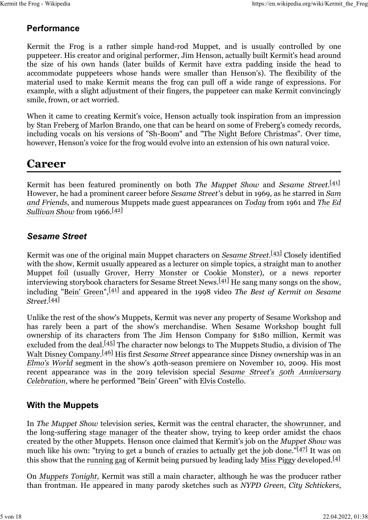#### **Performance**

Kermit the Frog is a rather simple hand-rod Muppet, and is usually controlled by one puppeteer. His creator and original performer, Jim Henson, actually built Kermit's head around the size of his own hands (later builds of Kermit have extra padding inside the head to accommodate puppeteers whose hands were smaller than Henson's). The flexibility of the material used to make Kermit means the frog can pull off a wide range of expressions. For example, with a slight adjustment of their fingers, the puppeteer can make Kermit convincingly smile, frown, or act worried.

When it came to creating Kermit's voice, Henson actually took inspiration from an impression by [Stan Freberg](https://en.wikipedia.org/wiki/Stan_Freberg) of [Marlon Brando,](https://en.wikipedia.org/wiki/Marlon_Brando) one that can be heard on some of Freberg's comedy records, including vocals on his versions of ["Sh-Boom"](https://en.wikipedia.org/wiki/Sh-Boom) and ["The Night Before Christmas"](https://en.wikipedia.org/wiki/The_Night_Before_Christmas). Over time, however, Henson's voice for the frog would evolve into an extension of his own natural voice.

### **Career**

Kermit has been featured prominently on both *The Muppet Show* and *Sesame Street*. [\[41\]](https://en.wikipedia.org/wiki/Kermit_the_Frog#cite_note-Kurin-41) However, he had a prominent career before *Sesame Street*'s debut in 1969, as he starred in *[Sam](https://en.wikipedia.org/wiki/Sam_and_Friends) [and Friends](https://en.wikipedia.org/wiki/Sam_and_Friends)*, and numerous Muppets made guest appearances on *[Today](https://en.wikipedia.org/wiki/Today_(U.S._TV_program))* from 1961 and *[The Ed](https://en.wikipedia.org/wiki/The_Ed_Sullivan_Show) [Sullivan Show](https://en.wikipedia.org/wiki/The_Ed_Sullivan_Show)* from 1966.[\[42\]](https://en.wikipedia.org/wiki/Kermit_the_Frog#cite_note-42)

#### *Sesame Street*

Kermit was one of the original main Muppet characters on *[Sesame Street](https://en.wikipedia.org/wiki/Sesame_Street)*. [\[43\]](https://en.wikipedia.org/wiki/Kermit_the_Frog#cite_note-43) Closely identified with the show, Kermit usually appeared as a lecturer on simple topics, a straight man to another Muppet [foil](https://en.wikipedia.org/wiki/Foil_(fiction)) (usually [Grover,](https://en.wikipedia.org/wiki/Grover) [Herry Monster](https://en.wikipedia.org/wiki/Herry_Monster) or [Cookie Monster\)](https://en.wikipedia.org/wiki/Cookie_Monster), or a news reporter interviewing storybook characters for Sesame Street News.[\[41\]](https://en.wikipedia.org/wiki/Kermit_the_Frog#cite_note-Kurin-41) He sang many songs on the show, including ["Bein' Green"](https://en.wikipedia.org/wiki/Bein%27_Green),[\[41\]](https://en.wikipedia.org/wiki/Kermit_the_Frog#cite_note-Kurin-41) and appeared in the 1998 video *The Best of Kermit on Sesame Street*. [\[44\]](https://en.wikipedia.org/wiki/Kermit_the_Frog#cite_note-44)

Unlike the rest of the show's Muppets, Kermit was never any property of [Sesame Workshop](https://en.wikipedia.org/wiki/Sesame_Workshop) and has rarely been a part of the show's merchandise. When Sesame Workshop bought full ownership of its characters from The Jim Henson Company for \$180 million, Kermit was excluded from the deal.<sup>[45]</sup> [The](https://en.wikipedia.org/wiki/The_Walt_Disney_Company) character now belongs to The Muppets Studio, a division of The [Walt Disney Company.](https://en.wikipedia.org/wiki/The_Walt_Disney_Company)[\[46\]](https://en.wikipedia.org/wiki/Kermit_the_Frog#cite_note-46) His first *Sesame Street* appearance since Disney ownership was in an *[Elmo's World](https://en.wikipedia.org/wiki/Elmo%27s_World)* segment in the show's 40th-season premiere on November 10, 2009. His most recent appearance was in the 2019 television special *[Sesame Street's 50th Anniversary](https://en.wikipedia.org/wiki/Sesame_Street%27s_50th_Anniversary_Celebration) [Celebration](https://en.wikipedia.org/wiki/Sesame_Street%27s_50th_Anniversary_Celebration)*, where he performed "Bein' Green" with [Elvis Costello.](https://en.wikipedia.org/wiki/Elvis_Costello)

#### **With the Muppets**

In *The Muppet Show* television series, Kermit was the central character, the [showrunner,](https://en.wikipedia.org/wiki/Showrunner) and the long-suffering [stage manager](https://en.wikipedia.org/wiki/Stage_management) of the theater show, trying to keep order amidst the chaos created by the other Muppets. Henson once claimed that Kermit's job on the *Muppet Show* was much like his own: "trying to get a bunch of crazies to actually get the job done." $[47]$  It was on this show that the [running gag](https://en.wikipedia.org/wiki/Running_gag) of Kermit being pursued by leading lady [Miss Piggy](https://en.wikipedia.org/wiki/Miss_Piggy) developed.<sup>[\[4\]](https://en.wikipedia.org/wiki/Kermit_the_Frog#cite_note-Siemaszko-4)</sup>

On *[Muppets Tonight](https://en.wikipedia.org/wiki/Muppets_Tonight)*, Kermit was still a main character, although he was the producer rather than frontman. He appeared in many parody sketches such as *NYPD Green*, *City Schtickers*,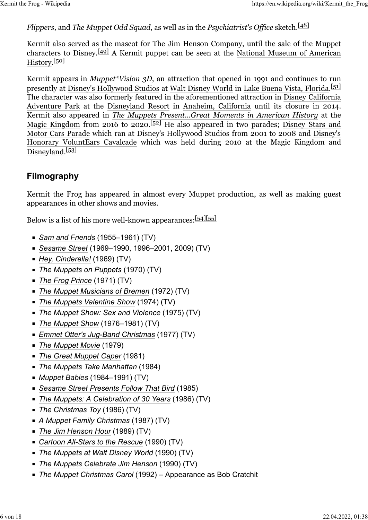#### *Flippers*, and *The Muppet Odd Squad*, as well as in the *Psychiatrist's Office* sketch.<sup>[\[48\]](https://en.wikipedia.org/wiki/Kermit_the_Frog#cite_note-48)</sup>

Kermit also served as the mascot for The Jim Henson Company, until the sale of the Muppet characters to Disney.<sup>[\[49\]](https://en.wikipedia.org/wiki/Kermit_the_Frog#cite_note-DisneyLicense-49)</sup> A Kermit puppet can be seen at the [National Museum of American](https://en.wikipedia.org/wiki/National_Museum_of_American_History) [History.](https://en.wikipedia.org/wiki/National_Museum_of_American_History)<sup>[\[50\]](https://en.wikipedia.org/wiki/Kermit_the_Frog#cite_note-50)</sup>

Kermit appears in *[Muppet\\*Vision 3D](https://en.wikipedia.org/wiki/Muppet*Vision_3D)*, an attraction that opened in 1991 and continues to run presently at [Disney's Hollywood Studios](https://en.wikipedia.org/wiki/Disney%27s_Hollywood_Studios) at [Walt Disney World](https://en.wikipedia.org/wiki/Walt_Disney_World) in [Lake Buena Vista, Florida.](https://en.wikipedia.org/wiki/Lake_Buena_Vista,_Florida)<sup>[\[51\]](https://en.wikipedia.org/wiki/Kermit_the_Frog#cite_note-51)</sup> The character was also formerly featured in the aforementioned attraction in [Disney California](https://en.wikipedia.org/wiki/Disney_California_Adventure_Park) [Adventure Park](https://en.wikipedia.org/wiki/Disney_California_Adventure_Park) at the [Disneyland Resort](https://en.wikipedia.org/wiki/Disneyland_Resort) in [Anaheim, California](https://en.wikipedia.org/wiki/Anaheim,_California) until its closure in 2014. Kermit also appeared in *[The Muppets Present...Great Moments in American History](https://en.wikipedia.org/wiki/The_Muppets_Present...Great_Moments_in_American_History)* at the [Magic Kingdom](https://en.wikipedia.org/wiki/Magic_Kingdom) from 2016 to 2020.<sup>[\[52\]](https://en.wikipedia.org/wiki/Kermit_the_Frog#cite_note-52)</sup> He also appeared in two parades; [Disney Stars and](https://en.wikipedia.org/wiki/Disney_Stars_and_Motor_Cars_Parade) [Motor Cars Parade](https://en.wikipedia.org/wiki/Disney_Stars_and_Motor_Cars_Parade) which ran at Disney's Hollywood Studios from 2001 to 2008 and [Disney's](https://en.wikipedia.org/wiki/Give_a_Day,_Get_a_Disney_Day) [Honorary VoluntEars Cavalcade](https://en.wikipedia.org/wiki/Give_a_Day,_Get_a_Disney_Day) which was held during 2010 at the Magic Kingdom and [Disneyland.](https://en.wikipedia.org/wiki/Disneyland)<sup>[\[53\]](https://en.wikipedia.org/wiki/Kermit_the_Frog#cite_note-:8-53)</sup>

#### **Filmography**

Kermit the Frog has appeared in almost every Muppet production, as well as making guest appearances in other shows and movies.

Below is a list of his more well-known appearances: [\[54\]](https://en.wikipedia.org/wiki/Kermit_the_Frog#cite_note-54)[\[55\]](https://en.wikipedia.org/wiki/Kermit_the_Frog#cite_note-55)

- *[Sam and Friends](https://en.wikipedia.org/wiki/Sam_and_Friends)* (1955–1961) (TV)
- *[Sesame Street](https://en.wikipedia.org/wiki/Sesame_Street)* (1969–1990, 1996–2001, 2009) (TV)
- *[Hey, Cinderella!](https://en.wikipedia.org/wiki/Hey,_Cinderella!)* (1969) (TV)
- *[The Muppets on Puppets](https://en.wikipedia.org/wiki/The_Muppets_on_Puppets)* (1970) (TV)
- *[The Frog Prince](https://en.wikipedia.org/wiki/The_Frog_Prince_(Muppets))* (1971) (TV)
- *[The Muppet Musicians of Bremen](https://en.wikipedia.org/wiki/The_Muppet_Musicians_of_Bremen)* (1972) (TV)
- **[The Muppets Valentine Show](https://en.wikipedia.org/wiki/The_Muppets_Valentine_Show) (1974) (TV)**
- *[The Muppet Show: Sex and Violence](https://en.wikipedia.org/wiki/The_Muppet_Show:_Sex_and_Violence)* (1975) (TV)
- *[The Muppet Show](https://en.wikipedia.org/wiki/The_Muppet_Show)* (1976–1981) (TV)
- *[Emmet Otter's Jug-Band Christmas](https://en.wikipedia.org/wiki/Emmet_Otter%27s_Jug-Band_Christmas)* (1977) (TV)
- *[The Muppet Movie](https://en.wikipedia.org/wiki/The_Muppet_Movie)* (1979)
- *[The Great Muppet Caper](https://en.wikipedia.org/wiki/The_Great_Muppet_Caper)* (1981)
- *[The Muppets Take Manhattan](https://en.wikipedia.org/wiki/The_Muppets_Take_Manhattan)* (1984)
- *[Muppet Babies](https://en.wikipedia.org/wiki/Muppet_Babies_(1984_TV_series))* (1984–1991) (TV)
- *[Sesame Street Presents Follow That Bird](https://en.wikipedia.org/wiki/Sesame_Street_Presents_Follow_That_Bird)* (1985)
- *[The Muppets: A Celebration of 30 Years](https://en.wikipedia.org/wiki/The_Muppets:_A_Celebration_of_30_Years)* (1986) (TV)
- *[The Christmas Toy](https://en.wikipedia.org/wiki/The_Christmas_Toy)* (1986) (TV)
- *[A Muppet Family Christmas](https://en.wikipedia.org/wiki/A_Muppet_Family_Christmas)* (1987) (TV)
- *[The Jim Henson Hour](https://en.wikipedia.org/wiki/The_Jim_Henson_Hour)* (1989) (TV)
- *[Cartoon All-Stars to the Rescue](https://en.wikipedia.org/wiki/Cartoon_All-Stars_to_the_Rescue)* (1990) (TV)
- **[The Muppets at Walt Disney World](https://en.wikipedia.org/wiki/The_Muppets_at_Walt_Disney_World) (1990) (TV)**
- *[The Muppets Celebrate Jim Henson](https://en.wikipedia.org/wiki/The_Muppets_Celebrate_Jim_Henson)* (1990) (TV)
- *[The Muppet Christmas Carol](https://en.wikipedia.org/wiki/The_Muppet_Christmas_Carol)* (1992) Appearance as [Bob Cratchit](https://en.wikipedia.org/wiki/Bob_Cratchit)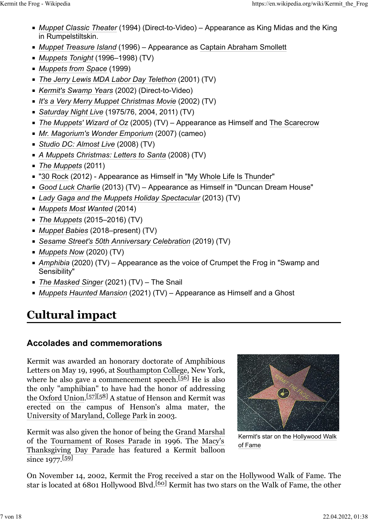- *[Muppet Classic Theater](https://en.wikipedia.org/wiki/Muppet_Classic_Theater)* (1994) (Direct-to-Video) Appearance as King Midas and the King in Rumpelstiltskin.
- *[Muppet Treasure Island](https://en.wikipedia.org/wiki/Muppet_Treasure_Island)* (1996) Appearance as [Captain Abraham Smollett](https://en.wikipedia.org/wiki/Captain_Alexander_Smollett)
- *[Muppets Tonight](https://en.wikipedia.org/wiki/Muppets_Tonight)* (1996–1998) (TV)
- *[Muppets from Space](https://en.wikipedia.org/wiki/Muppets_from_Space)* (1999)
- *[The Jerry Lewis MDA Labor Day Telethon](https://en.wikipedia.org/wiki/The_Jerry_Lewis_MDA_Labor_Day_Telethon)* (2001) (TV)
- *[Kermit's Swamp Years](https://en.wikipedia.org/wiki/Kermit%27s_Swamp_Years)* (2002) (Direct-to-Video)
- *[It's a Very Merry Muppet Christmas Movie](https://en.wikipedia.org/wiki/It%27s_a_Very_Merry_Muppet_Christmas_Movie)* (2002) (TV)
- *[Saturday Night Live](https://en.wikipedia.org/wiki/Saturday_Night_Live)* (1975/76, 2004, 2011) (TV)
- *[The Muppets' Wizard of Oz](https://en.wikipedia.org/wiki/The_Muppets%27_Wizard_of_Oz)* (2005) (TV) Appearance as Himself and [The Scarecrow](https://en.wikipedia.org/wiki/Scarecrow_(Oz))
- *[Mr. Magorium's Wonder Emporium](https://en.wikipedia.org/wiki/Mr._Magorium%27s_Wonder_Emporium)* (2007) (cameo)
- *[Studio DC: Almost Live](https://en.wikipedia.org/wiki/Studio_DC:_Almost_Live)* (2008) (TV)
- *[A Muppets Christmas: Letters to Santa](https://en.wikipedia.org/wiki/A_Muppets_Christmas:_Letters_to_Santa)* (2008) (TV)
- *[The Muppets](https://en.wikipedia.org/wiki/The_Muppets_(film))* (2011)
- ["30 Rock](https://en.wikipedia.org/wiki/30_Rock) (2012) Appearance as Himself in "[My Whole Life Is Thunder"](https://en.wikipedia.org/wiki/My_Whole_Life_Is_Thunder)
- *[Good Luck Charlie](https://en.wikipedia.org/wiki/Good_Luck_Charlie)* (2013) (TV) Appearance as Himself in "Duncan Dream House"
- *[Lady Gaga and the Muppets Holiday Spectacular](https://en.wikipedia.org/wiki/Lady_Gaga_and_the_Muppets_Holiday_Spectacular)* (2013) (TV)
- *[Muppets Most Wanted](https://en.wikipedia.org/wiki/Muppets_Most_Wanted)* (2014)
- *[The Muppets](https://en.wikipedia.org/wiki/The_Muppets_(TV_series))* (2015–2016) (TV)
- *[Muppet Babies](https://en.wikipedia.org/wiki/Muppet_Babies_(2018_TV_series))* (2018–present) (TV)
- *[Sesame Street's 50th Anniversary Celebration](https://en.wikipedia.org/wiki/Sesame_Street%27s_50th_Anniversary_Celebration)* (2019) (TV)
- *[Muppets Now](https://en.wikipedia.org/wiki/Muppets_Now)* (2020) (TV)
- [Amphibia](https://en.wikipedia.org/wiki/Amphibia_(TV_series)) (2020) (TV) Appearance as the voice of Crumpet the Frog in "Swamp and Sensibility"
- *[The Masked Singer](https://en.wikipedia.org/wiki/The_Masked_Singer_(American_season_5))* (2021) (TV) The Snail
- *[Muppets Haunted Mansion](https://en.wikipedia.org/wiki/Muppets_Haunted_Mansion)* (2021) (TV) Appearance as Himself and a Ghost

# **Cultural impact**

#### **Accolades and commemorations**

Kermit was awarded an honorary doctorate of Amphibious Letters on May 19, 1996, at [Southampton College,](https://en.wikipedia.org/wiki/Stony_Brook_Southampton) New York, where he also gave a commencement speech.<sup>[\[56\]](https://en.wikipedia.org/wiki/Kermit_the_Frog#cite_note-56)</sup> He is also the only "amphibian" to have had the honor of addressing the [Oxford Union.](https://en.wikipedia.org/wiki/Oxford_Union)<sup>[\[57\]](https://en.wikipedia.org/wiki/Kermit_the_Frog#cite_note-57)[58]</sup> A statue of Henson and Kermit was erected on the campus of Henson's alma mater, the [University of Maryland, College Park](https://en.wikipedia.org/wiki/University_of_Maryland,_College_Park) in 2003.

Kermit was also given the honor of being the [Grand Marshal](https://en.wikipedia.org/wiki/Grand_Marshals_of_the_Tournament_of_Roses_Parade) of the [Tournament of Roses Parade](https://en.wikipedia.org/wiki/Tournament_of_Roses_Parade) in 1996. The [Macy's](https://en.wikipedia.org/wiki/Macy%27s_Thanksgiving_Day_Parade) [Thanksgiving Day Parade](https://en.wikipedia.org/wiki/Macy%27s_Thanksgiving_Day_Parade) has featured a Kermit balloon  $\frac{1}{\text{since } 1977.59}$ 



Kermit's star on the [Hollywood Walk](https://en.wikipedia.org/wiki/Hollywood_Walk_of_Fame) [of Fame](https://en.wikipedia.org/wiki/Hollywood_Walk_of_Fame)

On November 14, 2002, Kermit the Frog received a star on the [Hollywood Walk of Fame.](https://en.wikipedia.org/wiki/Hollywood_Walk_of_Fame) The star is located at 6801 Hollywood Blvd.[\[60\]](https://en.wikipedia.org/wiki/Kermit_the_Frog#cite_note-60) Kermit has two stars on the Walk of Fame, the other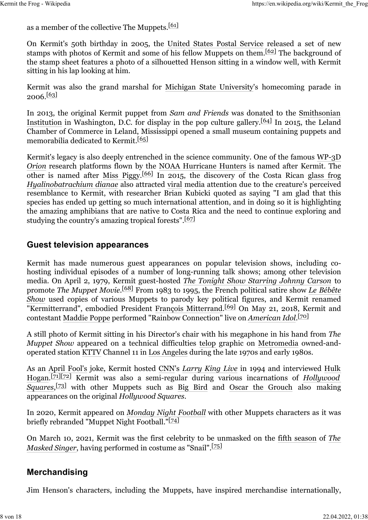as a member of the collective The Muppets.[\[61\]](https://en.wikipedia.org/wiki/Kermit_the_Frog#cite_note-61)

On Kermit's 50th birthday in 2005, the [United States Postal Service](https://en.wikipedia.org/wiki/United_States_Postal_Service) released a set of new stamps with photos of Kermit and some of his fellow Muppets on them.<sup>[\[62\]](https://en.wikipedia.org/wiki/Kermit_the_Frog#cite_note-62)</sup> The background of the stamp sheet features a photo of a silhouetted Henson sitting in a window well, with Kermit sitting in his lap looking at him.

Kermit was also the grand marshal for [Michigan State University'](https://en.wikipedia.org/wiki/Michigan_State_University)s homecoming parade in  $2006.\frac{[63]}{[}$  $2006.\frac{[63]}{[}$  $2006.\frac{[63]}{[}$ 

In 2013, the original Kermit puppet from *Sam and Friends* was donated to the [Smithsonian](https://en.wikipedia.org/wiki/Smithsonian_Institution) [Institution](https://en.wikipedia.org/wiki/Smithsonian_Institution) in Washington, D.C. for display in the pop culture gallery.[\[64\]](https://en.wikipedia.org/wiki/Kermit_the_Frog#cite_note-64) In 2015, the Leland Chamber of Commerce in Leland, Mississippi opened a small museum containing puppets and memorabilia dedicated to Kermit.[\[65\]](https://en.wikipedia.org/wiki/Kermit_the_Frog#cite_note-Grundhauser-65)

Kermit's legacy is also deeply entrenched in the science community. One of the famous [WP-3D](https://en.wikipedia.org/wiki/Lockheed_WP-3D_Orion) *[Orion](https://en.wikipedia.org/wiki/Lockheed_WP-3D_Orion)* research platforms flown by the [NOAA Hurricane Hunters](https://en.wikipedia.org/wiki/NOAA_Hurricane_Hunters) is named after Kermit. The other is named after [Miss Piggy.](https://en.wikipedia.org/wiki/Miss_Piggy)<sup>[\[66\]](https://en.wikipedia.org/wiki/Kermit_the_Frog#cite_note-66)</sup> In 2015, the discovery of the Costa Rican [glass frog](https://en.wikipedia.org/wiki/Glass_frog) *[Hyalinobatrachium dianae](https://en.wikipedia.org/wiki/Hyalinobatrachium_dianae)* also attracted [viral](https://en.wikipedia.org/wiki/Viral_phenomenon) media attention due to the creature's perceived resemblance to Kermit, with researcher Brian Kubicki quoted as saying "I am glad that this species has ended up getting so much international attention, and in doing so it is highlighting the amazing amphibians that are native to Costa Rica and the need to continue exploring and studying the country's amazing tropical forests".<sup>[\[67\]](https://en.wikipedia.org/wiki/Kermit_the_Frog#cite_note-67)</sup>

#### **Guest television appearances**

Kermit has made numerous guest appearances on popular television shows, including cohosting individual episodes of a number of long-running talk shows; among other television media. On April 2, 1979, Kermit guest-hosted *[The Tonight Show Starring Johnny Carson](https://en.wikipedia.org/wiki/The_Tonight_Show_Starring_Johnny_Carson)* to promote *The Muppet Movie*. [\[68\]](https://en.wikipedia.org/wiki/Kermit_the_Frog#cite_note-68) From 1983 to 1995, the French political satire show *[Le Bébête](https://en.wikipedia.org/wiki/Le_B%C3%A9b%C3%AAte_Show) [Show](https://en.wikipedia.org/wiki/Le_B%C3%A9b%C3%AAte_Show)* used copies of various Muppets to parody key political figures, and Kermit renamed "Kermitterrand", embodied President [François Mitterrand.](https://en.wikipedia.org/wiki/Fran%C3%A7ois_Mitterrand)[\[69\]](https://en.wikipedia.org/wiki/Kermit_the_Frog#cite_note-69) On May 21, 2018, Kermit and contestant [Maddie Poppe](https://en.wikipedia.org/wiki/Maddie_Poppe) performed "Rainbow Connection" live on *[American Idol](https://en.wikipedia.org/wiki/American_Idol_(season_16))*. [\[70\]](https://en.wikipedia.org/wiki/Kermit_the_Frog#cite_note-70)

A still photo of Kermit sitting in his Director's chair with his megaphone in his hand from *The Muppet Show* appeared on a technical difficulties [telop](https://en.wikipedia.org/wiki/Telop) graphic on [Metromedia](https://en.wikipedia.org/wiki/Metromedia) owned-andoperated station [KTTV](https://en.wikipedia.org/wiki/KTTV) Channel 11 in [Los Angeles](https://en.wikipedia.org/wiki/Los_Angeles) during the late 1970s and early 1980s.

As an [April Fool's](https://en.wikipedia.org/wiki/April_Fool%27s_Day) joke, Kermit hosted [CNN'](https://en.wikipedia.org/wiki/CNN)s *[Larry King Live](https://en.wikipedia.org/wiki/Larry_King_Live)* in 1994 and interviewed [Hulk](https://en.wikipedia.org/wiki/Hulk_Hogan) [Hogan.](https://en.wikipedia.org/wiki/Hulk_Hogan)[\[71\]](https://en.wikipedia.org/wiki/Kermit_the_Frog#cite_note-71)[\[72\]](https://en.wikipedia.org/wiki/Kermit_the_Frog#cite_note-72) Kermit was also a semi-regular during various incarnations of *[Hollywood](https://en.wikipedia.org/wiki/Hollywood_Squares) [Squares](https://en.wikipedia.org/wiki/Hollywood_Squares)*, [\[73\]](https://en.wikipedia.org/wiki/Kermit_the_Frog#cite_note-73) with other Muppets such as [Big Bird](https://en.wikipedia.org/wiki/Big_Bird) and [Oscar the Grouch](https://en.wikipedia.org/wiki/Oscar_the_Grouch) also making appearances on the original *Hollywood Squares*.

In 2020, Kermit appeared on *[Monday Night Football](https://en.wikipedia.org/wiki/Monday_Night_Football)* with other Muppets characters as it was briefly rebranded "Muppet Night Football."<sup>[\[74\]](https://en.wikipedia.org/wiki/Kermit_the_Frog#cite_note-74)</sup>

On March 10, 2021, Kermit was the first celebrity to be unmasked on the [fifth season](https://en.wikipedia.org/wiki/The_Masked_Singer_(American_season_5)) of *[The](https://en.wikipedia.org/wiki/The_Masked_Singer_(American_TV_series)) [Masked Singer](https://en.wikipedia.org/wiki/The_Masked_Singer_(American_TV_series))*, having performed in costume as "Snail".<sup>[\[75\]](https://en.wikipedia.org/wiki/Kermit_the_Frog#cite_note-75)</sup>

#### **Merchandising**

Jim Henson's characters, including the Muppets, have inspired merchandise internationally,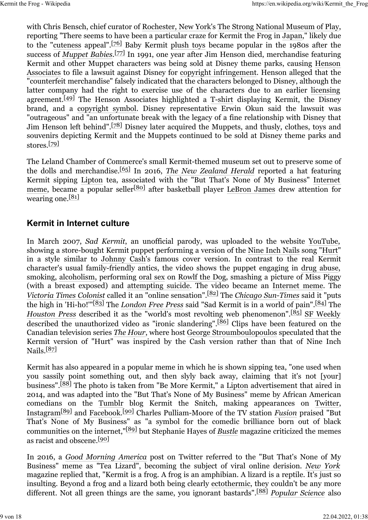with Chris Bensch, chief curator of [Rochester, New York](https://en.wikipedia.org/wiki/Rochester,_New_York)'s [The Strong National Museum of Play,](https://en.wikipedia.org/wiki/The_Strong_National_Museum_of_Play) reporting "There seems to have been a particular craze for Kermit the Frog in [Japan,](https://en.wikipedia.org/wiki/Japan)" likely due to the ["cuteness](https://en.wikipedia.org/wiki/Cuteness) appeal".[\[76\]](https://en.wikipedia.org/wiki/Kermit_the_Frog#cite_note-76) Baby Kermit [plush toys](https://en.wikipedia.org/wiki/Plush_toys) became popular in the 1980s after the success of *Muppet Babies*.<sup>[77]</sup> In 1991, one year after Jim Henson died, merchandise featuring Kermit and other Muppet characters was being sold at Disney theme parks, causing [Henson](https://en.wikipedia.org/wiki/The_Jim_Henson_Company) [Associates](https://en.wikipedia.org/wiki/The_Jim_Henson_Company) to file a lawsuit against Disney for [copyright infringement.](https://en.wikipedia.org/wiki/Copyright_infringement) Henson alleged that the "counterfeit merchandise" falsely indicated that the characters belonged to Disney, although the latter company had the right to exercise use of the characters due to an earlier [licensing](https://en.wikipedia.org/wiki/Licensing) agreement.<sup>[\[49\]](https://en.wikipedia.org/wiki/Kermit_the_Frog#cite_note-DisneyLicense-49)</sup> The Henson Associates highlighted a [T-shirt](https://en.wikipedia.org/wiki/T-shirt) displaying Kermit, the Disney brand, and a [copyright symbol.](https://en.wikipedia.org/wiki/Copyright_symbol) Disney representative Erwin Okun said the lawsuit was "outrageous" and "an unfortunate break with the legacy of a fine relationship with Disney that Jim Henson left behind".<sup>[\[78\]](https://en.wikipedia.org/wiki/Kermit_the_Frog#cite_note-78)</sup> Disney later acquired the Muppets, and thusly, clothes, toys and souvenirs depicting Kermit and the Muppets continued to be sold at Disney theme parks and stores.[\[79\]](https://en.wikipedia.org/wiki/Kermit_the_Frog#cite_note-79)

The Leland Chamber of Commerce's small Kermit-themed museum set out to preserve some of the dolls and merchandise.[\[65\]](https://en.wikipedia.org/wiki/Kermit_the_Frog#cite_note-Grundhauser-65) In 2016, *[The New Zealand Herald](https://en.wikipedia.org/wiki/The_New_Zealand_Herald)* reported a hat featuring Kermit sipping [Lipton](https://en.wikipedia.org/wiki/Lipton) tea, associated with the "But That's None of My Business" [Internet](https://en.wikipedia.org/wiki/Internet_meme) [meme,](https://en.wikipedia.org/wiki/Internet_meme) became a popular seller<sup>[\[80\]](https://en.wikipedia.org/wiki/Kermit_the_Frog#cite_note-80)</sup> after basketball player [LeBron James](https://en.wikipedia.org/wiki/LeBron_James) drew attention for wearing one. $[81]$ 

#### **Kermit in Internet culture**

In March 2007, *Sad Kermit*, an unofficial parody, was uploaded to the website [YouTube,](https://en.wikipedia.org/wiki/YouTube) showing a store-bought Kermit puppet performing a version of the [Nine Inch Nails](https://en.wikipedia.org/wiki/Nine_Inch_Nails) song ["Hurt"](https://en.wikipedia.org/wiki/Hurt_(Nine_Inch_Nails_song)) in a style similar to [Johnny Cash'](https://en.wikipedia.org/wiki/Johnny_Cash)s famous cover version. In contrast to the real Kermit character's usual family-friendly antics, the video shows the puppet engaging in [drug abuse,](https://en.wikipedia.org/wiki/Drug_abuse) smoking, [alcoholism,](https://en.wikipedia.org/wiki/Alcoholism) performing [oral sex](https://en.wikipedia.org/wiki/Oral_sex) on [Rowlf the Dog,](https://en.wikipedia.org/wiki/Rowlf_the_Dog) smashing a picture of Miss Piggy (with a breast exposed) and [attempting suicide.](https://en.wikipedia.org/wiki/Suicide_attempt) The video became an [Internet meme.](https://en.wikipedia.org/wiki/Internet_meme) The *[Victoria Times Colonist](https://en.wikipedia.org/wiki/Victoria_Times_Colonist)* called it an "online sensation".[\[82\]](https://en.wikipedia.org/wiki/Kermit_the_Frog#cite_note-82) The *[Chicago Sun-Times](https://en.wikipedia.org/wiki/Chicago_Sun-Times)* said it "puts the high in 'Hi-ho!'"[\[83\]](https://en.wikipedia.org/wiki/Kermit_the_Frog#cite_note-83) The *[London Free Press](https://en.wikipedia.org/wiki/London_Free_Press)* said "Sad Kermit is in a world of pain".[\[84\]](https://en.wikipedia.org/wiki/Kermit_the_Frog#cite_note-84) The *[Houston Press](https://en.wikipedia.org/wiki/Houston_Press)* described it as the "world's most revolting web phenomenon".<sup>[\[85\]](https://en.wikipedia.org/wiki/Kermit_the_Frog#cite_note-85)</sup> [SF Weekly](https://en.wikipedia.org/wiki/SF_Weekly) described the unauthorized video as "ironic slandering".<sup>[\[86\]](https://en.wikipedia.org/wiki/Kermit_the_Frog#cite_note-86)</sup> Clips have been featured on the Canadian television series *[The Hour](https://en.wikipedia.org/wiki/George_Stroumboulopoulos_Tonight)*, where host [George Stroumboulopoulos](https://en.wikipedia.org/wiki/George_Stroumboulopoulos) speculated that the Kermit version of "Hurt" was inspired by the Cash version rather than that of Nine Inch Nails<sup>[\[87\]](https://en.wikipedia.org/wiki/Kermit_the_Frog#cite_note-87)</sup>

Kermit has also appeared in a popular meme in which he is shown sipping tea, "one used when you sassily point something out, and then slyly back away, claiming that it's not [your] business".<sup>[\[88\]](https://en.wikipedia.org/wiki/Kermit_the_Frog#cite_note-Browne-88)</sup> The photo is taken from "Be More Kermit," a [Lipton](https://en.wikipedia.org/wiki/Lipton) advertisement that aired in 2014, and was adapted into the "But That's None of My Business" meme by African American comedians on the [Tumblr](https://en.wikipedia.org/wiki/Tumblr) blog Kermit the Snitch, making appearances on [Twitter,](https://en.wikipedia.org/wiki/Twitter) [Instagram](https://en.wikipedia.org/wiki/Instagram)[\[89\]](https://en.wikipedia.org/wiki/Kermit_the_Frog#cite_note-Fusion-89) and [Facebook.](https://en.wikipedia.org/wiki/Facebook)[\[90\]](https://en.wikipedia.org/wiki/Kermit_the_Frog#cite_note-Bustle-90) Charles Pulliam-Moore of the TV station *[Fusion](https://en.wikipedia.org/wiki/Fusion_(TV_channel))* praised "But That's None of My Business" as "a symbol for the comedic brilliance born out of black communities on the internet,"[\[89\]](https://en.wikipedia.org/wiki/Kermit_the_Frog#cite_note-Fusion-89) but Stephanie Hayes of *[Bustle](https://en.wikipedia.org/wiki/Bustle_(magazine))* magazine criticized the memes as racist and obscene.<sup>[\[90\]](https://en.wikipedia.org/wiki/Kermit_the_Frog#cite_note-Bustle-90)</sup>

In 2016, a *[Good Morning America](https://en.wikipedia.org/wiki/Good_Morning_America)* post on Twitter referred to the "But That's None of My Business" meme as "Tea Lizard", becoming the subject of viral online derision. *[New York](https://en.wikipedia.org/wiki/New_York_(magazine))* magazine replied that, "Kermit is a frog. A frog is an amphibian. A lizard is a reptile. It's just so insulting. Beyond a frog and a lizard both being clearly [ectothermic,](https://en.wikipedia.org/wiki/Ectotherm) they couldn't be any more different. Not all green things are the same, you ignorant bastards".[\[88\]](https://en.wikipedia.org/wiki/Kermit_the_Frog#cite_note-Browne-88) *[Popular Science](https://en.wikipedia.org/wiki/Popular_Science)* also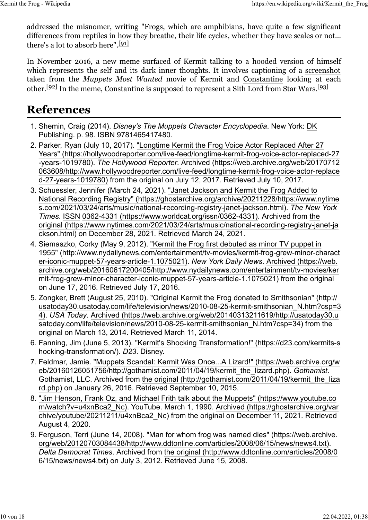addressed the misnomer, writing "Frogs, which are amphibians, have quite a few significant differences from reptiles in how they breathe, their life cycles, whether they have scales or not... there's a lot to absorb here".  $[91]$ 

In November 2016, a new meme surfaced of Kermit talking to a hooded version of himself which represents the self and its dark inner thoughts. It involves captioning of a [screenshot](https://en.wikipedia.org/wiki/Screenshot) taken from the *Muppets Most Wanted* movie of Kermit and [Constantine](https://en.wikipedia.org/wiki/Constantine_(Muppet)) looking at each other.<sup>[92]</sup> In the meme, Constantine is supposed to represent a Sith Lord from Star Wars.<sup>[\[93\]](https://en.wikipedia.org/wiki/Kermit_the_Frog#cite_note-93)</sup>

## **References**

- 1. Shemin, Craig (2014). *Disney's The Muppets Character Encyclopedia*. New York: [DK](https://en.wikipedia.org/wiki/DK_Publishing) [Publishing.](https://en.wikipedia.org/wiki/DK_Publishing) p. 98. [ISBN](https://en.wikipedia.org/wiki/ISBN_(identifier)) [9781465417480.](https://en.wikipedia.org/wiki/Special:BookSources/9781465417480)
- 2. Parker, Ryan (July 10, 2017). ["Longtime Kermit the Frog Voice Actor Replaced After 27](https://hollywoodreporter.com/live-feed/longtime-kermit-frog-voice-actor-replaced-27-years-1019780) [Years" \(https://hollywoodreporter.com/live-feed/longtime-kermit-frog-voice-actor-replaced-27](https://hollywoodreporter.com/live-feed/longtime-kermit-frog-voice-actor-replaced-27-years-1019780) [-years-1019780\).](https://hollywoodreporter.com/live-feed/longtime-kermit-frog-voice-actor-replaced-27-years-1019780) *The Hollywood Reporter*. [Archived \(https://web.archive.org/web/20170712](https://web.archive.org/web/20170712063608/http://www.hollywoodreporter.com/live-feed/longtime-kermit-frog-voice-actor-replaced-27-years-1019780) [063608/http://www.hollywoodreporter.com/live-feed/longtime-kermit-frog-voice-actor-replace](https://web.archive.org/web/20170712063608/http://www.hollywoodreporter.com/live-feed/longtime-kermit-frog-voice-actor-replaced-27-years-1019780) [d-27-years-1019780\)](https://web.archive.org/web/20170712063608/http://www.hollywoodreporter.com/live-feed/longtime-kermit-frog-voice-actor-replaced-27-years-1019780) from the original on July 12, 2017. Retrieved July 10, 2017.
- 3. Schuessler, Jennifer (March 24, 2021). ["Janet Jackson and Kermit the Frog Added to](https://ghostarchive.org/archive/20211228/https://www.nytimes.com/2021/03/24/arts/music/national-recording-registry-janet-jackson.html) [National Recording Registry" \(https://ghostarchive.org/archive/20211228/https://www.nytime](https://ghostarchive.org/archive/20211228/https://www.nytimes.com/2021/03/24/arts/music/national-recording-registry-janet-jackson.html) [s.com/2021/03/24/arts/music/national-recording-registry-janet-jackson.html\).](https://ghostarchive.org/archive/20211228/https://www.nytimes.com/2021/03/24/arts/music/national-recording-registry-janet-jackson.html) *The New York Times*. [ISSN](https://en.wikipedia.org/wiki/ISSN_(identifier)) [0362-4331 \(https://www.worldcat.org/issn/0362-4331\).](https://www.worldcat.org/issn/0362-4331) Archived from [the](https://www.nytimes.com/2021/03/24/arts/music/national-recording-registry-janet-jackson.html) [original \(https://www.nytimes.com/2021/03/24/arts/music/national-recording-registry-janet-ja](https://www.nytimes.com/2021/03/24/arts/music/national-recording-registry-janet-jackson.html) [ckson.html\)](https://www.nytimes.com/2021/03/24/arts/music/national-recording-registry-janet-jackson.html) on December 28, 2021. Retrieved March 24, 2021.
- 4. Siemaszko, Corky (May 9, 2012). ["Kermit the Frog first debuted as minor TV puppet in](http://www.nydailynews.com/entertainment/tv-movies/kermit-frog-grew-minor-character-iconic-muppet-57-years-article-1.1075021) [1955" \(http://www.nydailynews.com/entertainment/tv-movies/kermit-frog-grew-minor-charact](http://www.nydailynews.com/entertainment/tv-movies/kermit-frog-grew-minor-character-iconic-muppet-57-years-article-1.1075021) [er-iconic-muppet-57-years-article-1.1075021\).](http://www.nydailynews.com/entertainment/tv-movies/kermit-frog-grew-minor-character-iconic-muppet-57-years-article-1.1075021) *New York Daily News*. [Archived \(https://web.](https://web.archive.org/web/20160617200405/http://www.nydailynews.com/entertainment/tv-movies/kermit-frog-grew-minor-character-iconic-muppet-57-years-article-1.1075021) [archive.org/web/20160617200405/http://www.nydailynews.com/entertainment/tv-movies/ker](https://web.archive.org/web/20160617200405/http://www.nydailynews.com/entertainment/tv-movies/kermit-frog-grew-minor-character-iconic-muppet-57-years-article-1.1075021) [mit-frog-grew-minor-character-iconic-muppet-57-years-article-1.1075021\)](https://web.archive.org/web/20160617200405/http://www.nydailynews.com/entertainment/tv-movies/kermit-frog-grew-minor-character-iconic-muppet-57-years-article-1.1075021) from the original on June 17, 2016. Retrieved July 17, 2016.
- 5. Zongker, Brett (August 25, 2010). ["Original Kermit the Frog donated to Smithsonian" \(http://](http://usatoday30.usatoday.com/life/television/news/2010-08-25-kermit-smithsonian_N.htm?csp=34) [usatoday30.usatoday.com/life/television/news/2010-08-25-kermit-smithsonian\\_N.htm?csp=3](http://usatoday30.usatoday.com/life/television/news/2010-08-25-kermit-smithsonian_N.htm?csp=34) [4\).](http://usatoday30.usatoday.com/life/television/news/2010-08-25-kermit-smithsonian_N.htm?csp=34) *USA Today*. [Archived \(https://web.archive.org/web/20140313211619/http://usatoday30.u](https://web.archive.org/web/20140313211619/http://usatoday30.usatoday.com/life/television/news/2010-08-25-kermit-smithsonian_N.htm?csp=34) satoday.com/life/television/news/2010-08-25-kermit-smithsonian N.htm?csp=34) from the original on March 13, 2014. Retrieved March 11, 2014.
- 6. Fanning, Jim (June 5, 2013). ["Kermit's Shocking Transformation!" \(https://d23.com/kermits-s](https://d23.com/kermits-shocking-transformation/) [hocking-transformation/\).](https://d23.com/kermits-shocking-transformation/) *D23*. Disney.
- 7. Feldmar, Jamie. ["Muppets Scandal: Kermit Was Once...A Lizard!" \(https://web.archive.org/w](https://web.archive.org/web/20160126051756/http://gothamist.com/2011/04/19/kermit_the_lizard.php) [eb/20160126051756/http://gothamist.com/2011/04/19/kermit\\_the\\_lizard.php\).](https://web.archive.org/web/20160126051756/http://gothamist.com/2011/04/19/kermit_the_lizard.php) *Gothamist*. Gothamist, LLC. Archived from [the original \(http://gothamist.com/2011/04/19/kermit\\_the\\_liza](http://gothamist.com/2011/04/19/kermit_the_lizard.php) [rd.php\)](http://gothamist.com/2011/04/19/kermit_the_lizard.php) on January 26, 2016. Retrieved September 10, 2015.
- 8. ["Jim Henson, Frank Oz, and Michael Frith talk about the Muppets" \(https://www.youtube.co](https://www.youtube.com/watch?v=u4xnBca2_Nc) [m/watch?v=u4xnBca2\\_Nc\).](https://www.youtube.com/watch?v=u4xnBca2_Nc) YouTube. March 1, 1990. [Archived \(https://ghostarchive.org/var](https://ghostarchive.org/varchive/youtube/20211211/u4xnBca2_Nc) [chive/youtube/20211211/u4xnBca2\\_Nc\)](https://ghostarchive.org/varchive/youtube/20211211/u4xnBca2_Nc) from the original on December 11, 2021. Retrieved August 4, 2020.
- 9. Ferguson, Terri (June 14, 2008). ["Man for whom frog was named dies" \(https://web.archive.](https://web.archive.org/web/20120703084438/http://www.ddtonline.com/articles/2008/06/15/news/news4.txt) [org/web/20120703084438/http://www.ddtonline.com/articles/2008/06/15/news/news4.txt\).](https://web.archive.org/web/20120703084438/http://www.ddtonline.com/articles/2008/06/15/news/news4.txt) *Delta Democrat Times*. Archived from [the original \(http://www.ddtonline.com/articles/2008/0](http://www.ddtonline.com/articles/2008/06/15/news/news4.txt) [6/15/news/news4.txt\)](http://www.ddtonline.com/articles/2008/06/15/news/news4.txt) on July 3, 2012. Retrieved June 15, 2008.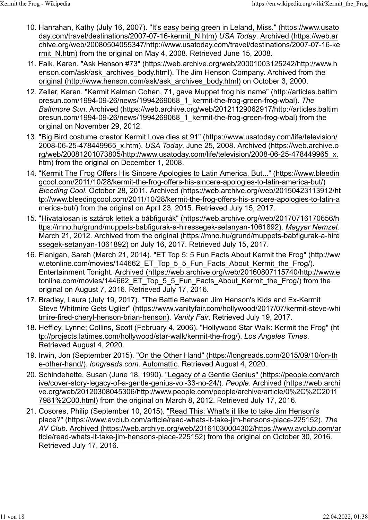- 10. Hanrahan, Kathy (July 16, 2007). ["It's easy being green in Leland, Miss." \(https://www.usato](https://www.usatoday.com/travel/destinations/2007-07-16-kermit_N.htm) [day.com/travel/destinations/2007-07-16-kermit\\_N.htm\)](https://www.usatoday.com/travel/destinations/2007-07-16-kermit_N.htm) *USA Today*. [Archived \(https://web.ar](https://web.archive.org/web/20080504055347/http://www.usatoday.com/travel/destinations/2007-07-16-kermit_N.htm) [chive.org/web/20080504055347/http://www.usatoday.com/travel/destinations/2007-07-16-ke](https://web.archive.org/web/20080504055347/http://www.usatoday.com/travel/destinations/2007-07-16-kermit_N.htm) rmit N.htm) from the original on May 4, 2008. Retrieved June 15, 2008.
- 11. Falk, Karen. ["Ask Henson #73" \(https://web.archive.org/web/20001003125242/http://www.h](https://web.archive.org/web/20001003125242/http://www.henson.com/ask/ask_archives_body.html) [enson.com/ask/ask\\_archives\\_body.html\).](https://web.archive.org/web/20001003125242/http://www.henson.com/ask/ask_archives_body.html) The Jim Henson Company. Archived from [the](http://www.henson.com/ask/ask_archives_body.html) [original \(http://www.henson.com/ask/ask\\_archives\\_body.html\)](http://www.henson.com/ask/ask_archives_body.html) on October 3, 2000.
- 12. Zeller, Karen. ["Kermit Kalman Cohen, 71, gave Muppet frog his name" \(http://articles.baltim](http://articles.baltimoresun.com/1994-09-26/news/1994269068_1_kermit-the-frog-green-frog-wbal) [oresun.com/1994-09-26/news/1994269068\\_1\\_kermit-the-frog-green-frog-wbal\).](http://articles.baltimoresun.com/1994-09-26/news/1994269068_1_kermit-the-frog-green-frog-wbal) *[The](https://en.wikipedia.org/wiki/The_Baltimore_Sun) [Baltimore Sun](https://en.wikipedia.org/wiki/The_Baltimore_Sun)*. [Archived \(https://web.archive.org/web/20121129062917/http://articles.baltim](https://web.archive.org/web/20121129062917/http://articles.baltimoresun.com/1994-09-26/news/1994269068_1_kermit-the-frog-green-frog-wbal) [oresun.com/1994-09-26/news/1994269068\\_1\\_kermit-the-frog-green-frog-wbal\)](https://web.archive.org/web/20121129062917/http://articles.baltimoresun.com/1994-09-26/news/1994269068_1_kermit-the-frog-green-frog-wbal) from the original on November 29, 2012.
- 13. ["Big Bird costume creator Kermit Love dies at 91" \(https://www.usatoday.com/life/television/](https://www.usatoday.com/life/television/2008-06-25-478449965_x.htm) [2008-06-25-478449965\\_x.htm\).](https://www.usatoday.com/life/television/2008-06-25-478449965_x.htm) *USA Today*. June 25, 2008. [Archived \(https://web.archive.o](https://web.archive.org/web/20081201073805/http://www.usatoday.com/life/television/2008-06-25-478449965_x.htm) [rg/web/20081201073805/http://www.usatoday.com/life/television/2008-06-25-478449965\\_x.](https://web.archive.org/web/20081201073805/http://www.usatoday.com/life/television/2008-06-25-478449965_x.htm) [htm\)](https://web.archive.org/web/20081201073805/http://www.usatoday.com/life/television/2008-06-25-478449965_x.htm) from the original on December 1, 2008.
- 14. ["Kermit The Frog Offers His Sincere Apologies to Latin America, But..." \(https://www.bleedin](https://www.bleedingcool.com/2011/10/28/kermit-the-frog-offers-his-sincere-apologies-to-latin-america-but/) [gcool.com/2011/10/28/kermit-the-frog-offers-his-sincere-apologies-to-latin-america-but/\)](https://www.bleedingcool.com/2011/10/28/kermit-the-frog-offers-his-sincere-apologies-to-latin-america-but/) *[Bleeding Cool](https://en.wikipedia.org/wiki/Bleeding_Cool)*. October 28, 2011. [Archived \(https://web.archive.org/web/20150423113912/ht](https://web.archive.org/web/20150423113912/http://www.bleedingcool.com/2011/10/28/kermit-the-frog-offers-his-sincere-apologies-to-latin-america-but/) [tp://www.bleedingcool.com/2011/10/28/kermit-the-frog-offers-his-sincere-apologies-to-latin-a](https://web.archive.org/web/20150423113912/http://www.bleedingcool.com/2011/10/28/kermit-the-frog-offers-his-sincere-apologies-to-latin-america-but/) [merica-but/\)](https://web.archive.org/web/20150423113912/http://www.bleedingcool.com/2011/10/28/kermit-the-frog-offers-his-sincere-apologies-to-latin-america-but/) from the original on April 23, 2015. Retrieved July 15, 2017.
- 15. ["Hivatalosan is sztárok lettek a bábfigurák" \(https://web.archive.org/web/20170716170656/h](https://web.archive.org/web/20170716170656/https://mno.hu/grund/muppets-babfigurak-a-hiressegek-setanyan-1061892) [ttps://mno.hu/grund/muppets-babfigurak-a-hiressegek-setanyan-1061892\).](https://web.archive.org/web/20170716170656/https://mno.hu/grund/muppets-babfigurak-a-hiressegek-setanyan-1061892) *[Magyar Nemzet](https://en.wikipedia.org/wiki/Magyar_Nemzet)*. March 21, 2012. Archived from [the original \(https://mno.hu/grund/muppets-babfigurak-a-hire](https://mno.hu/grund/muppets-babfigurak-a-hiressegek-setanyan-1061892) [ssegek-setanyan-1061892\)](https://mno.hu/grund/muppets-babfigurak-a-hiressegek-setanyan-1061892) on July 16, 2017. Retrieved July 15, 2017.
- 16. Flanigan, Sarah (March 21, 2014). ["ET Top 5: 5 Fun Facts About Kermit the Frog" \(http://ww](http://www.etonline.com/movies/144662_ET_Top_5_5_Fun_Facts_About_Kermit_the_Frog/) [w.etonline.com/movies/144662\\_ET\\_Top\\_5\\_5\\_Fun\\_Facts\\_About\\_Kermit\\_the\\_Frog/\).](http://www.etonline.com/movies/144662_ET_Top_5_5_Fun_Facts_About_Kermit_the_Frog/) Entertainment Tonight. [Archived \(https://web.archive.org/web/20160807115740/http://www.e](https://web.archive.org/web/20160807115740/http://www.etonline.com/movies/144662_ET_Top_5_5_Fun_Facts_About_Kermit_the_Frog/) tonline.com/movies/144662 ET Top 5 5 Fun Facts About Kermit the Frog/) from the original on August 7, 2016. Retrieved July 17, 2016.
- 17. Bradley, Laura (July 19, 2017). ["The Battle Between Jim Henson's Kids and Ex-Kermit](https://www.vanityfair.com/hollywood/2017/07/kermit-steve-whitmire-fired-cheryl-henson-brian-henson) [Steve Whitmire Gets Uglier" \(https://www.vanityfair.com/hollywood/2017/07/kermit-steve-whi](https://www.vanityfair.com/hollywood/2017/07/kermit-steve-whitmire-fired-cheryl-henson-brian-henson) [tmire-fired-cheryl-henson-brian-henson\).](https://www.vanityfair.com/hollywood/2017/07/kermit-steve-whitmire-fired-cheryl-henson-brian-henson) *Vanity Fair*. Retrieved July 19, 2017.
- 18. Heffley, Lynne; Collins, Scott (February 4, 2006). ["Hollywood Star Walk: Kermit the Frog" \(ht](http://projects.latimes.com/hollywood/star-walk/kermit-the-frog/) [tp://projects.latimes.com/hollywood/star-walk/kermit-the-frog/\).](http://projects.latimes.com/hollywood/star-walk/kermit-the-frog/) *Los Angeles Times*. Retrieved August 4, 2020.
- 19. Irwin, Jon (September 2015). ["On the Other Hand" \(https://longreads.com/2015/09/10/on-th](https://longreads.com/2015/09/10/on-the-other-hand/) [e-other-hand/\).](https://longreads.com/2015/09/10/on-the-other-hand/) *longreads.com*. [Automattic.](https://en.wikipedia.org/wiki/Automattic) Retrieved August 4, 2020.
- 20. Schindehette, Susan (June 18, 1990). ["Legacy of a Gentle Genius" \(https://people.com/arch](https://people.com/archive/cover-story-legacy-of-a-gentle-genius-vol-33-no-24/) [ive/cover-story-legacy-of-a-gentle-genius-vol-33-no-24/\).](https://people.com/archive/cover-story-legacy-of-a-gentle-genius-vol-33-no-24/) *People*. [Archived \(https://web.archi](https://web.archive.org/web/20120308045306/http://www.people.com/people/archive/article/0%2C%2C20117981%2C00.html) [ve.org/web/20120308045306/http://www.people.com/people/archive/article/0%2C%2C2011](https://web.archive.org/web/20120308045306/http://www.people.com/people/archive/article/0%2C%2C20117981%2C00.html) [7981%2C00.html\)](https://web.archive.org/web/20120308045306/http://www.people.com/people/archive/article/0%2C%2C20117981%2C00.html) from the original on March 8, 2012. Retrieved July 17, 2016.
- 21. Cosores, Philip (September 10, 2015). ["Read This: What's it like to take Jim Henson's](https://www.avclub.com/article/read-whats-it-take-jim-hensons-place-225152) [place?" \(https://www.avclub.com/article/read-whats-it-take-jim-hensons-place-225152\).](https://www.avclub.com/article/read-whats-it-take-jim-hensons-place-225152) *The AV Club*. [Archived \(https://web.archive.org/web/20161030004302/https://www.avclub.com/ar](https://web.archive.org/web/20161030004302/https://www.avclub.com/article/read-whats-it-take-jim-hensons-place-225152) [ticle/read-whats-it-take-jim-hensons-place-225152\)](https://web.archive.org/web/20161030004302/https://www.avclub.com/article/read-whats-it-take-jim-hensons-place-225152) from the original on October 30, 2016. Retrieved July 17, 2016.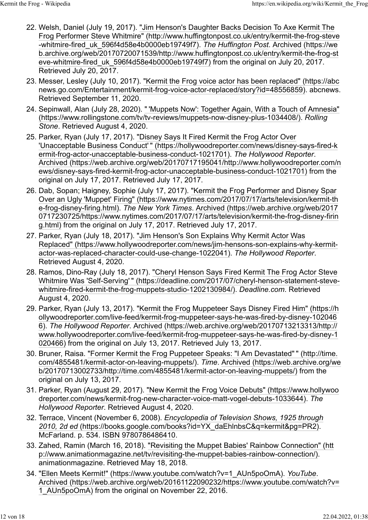- 22. Welsh, Daniel (July 19, 2017). ["Jim Henson's Daughter Backs Decision To Axe Kermit The](http://www.huffingtonpost.co.uk/entry/kermit-the-frog-steve-whitmire-fired_uk_596f4d58e4b0000eb19749f7) [Frog Performer Steve Whitmire" \(http://www.huffingtonpost.co.uk/entry/kermit-the-frog-steve](http://www.huffingtonpost.co.uk/entry/kermit-the-frog-steve-whitmire-fired_uk_596f4d58e4b0000eb19749f7) [-whitmire-fired\\_uk\\_596f4d58e4b0000eb19749f7\).](http://www.huffingtonpost.co.uk/entry/kermit-the-frog-steve-whitmire-fired_uk_596f4d58e4b0000eb19749f7) *[The Huffington Post](https://en.wikipedia.org/wiki/The_Huffington_Post)*. [Archived \(https://we](https://web.archive.org/web/20170720071539/http://www.huffingtonpost.co.uk/entry/kermit-the-frog-steve-whitmire-fired_uk_596f4d58e4b0000eb19749f7) [b.archive.org/web/20170720071539/http://www.huffingtonpost.co.uk/entry/kermit-the-frog-st](https://web.archive.org/web/20170720071539/http://www.huffingtonpost.co.uk/entry/kermit-the-frog-steve-whitmire-fired_uk_596f4d58e4b0000eb19749f7) [eve-whitmire-fired\\_uk\\_596f4d58e4b0000eb19749f7\)](https://web.archive.org/web/20170720071539/http://www.huffingtonpost.co.uk/entry/kermit-the-frog-steve-whitmire-fired_uk_596f4d58e4b0000eb19749f7) from the original on July 20, 2017. Retrieved July 20, 2017.
- 23. Messer, Lesley (July 10, 2017). ["Kermit the Frog voice actor has been replaced" \(https://abc](https://abcnews.go.com/Entertainment/kermit-frog-voice-actor-replaced/story?id=48556859) [news.go.com/Entertainment/kermit-frog-voice-actor-replaced/story?id=48556859\).](https://abcnews.go.com/Entertainment/kermit-frog-voice-actor-replaced/story?id=48556859) abcnews. Retrieved September 11, 2020.
- 24. Sepinwall, Alan (July 28, 2020). ["](https://www.rollingstone.com/tv/tv-reviews/muppets-now-disney-plus-1034408/) ['Muppets Now': Together Again, With a Touch of Amnesia"](https://www.rollingstone.com/tv/tv-reviews/muppets-now-disney-plus-1034408/) [\(https://www.rollingstone.com/tv/tv-reviews/muppets-now-disney-plus-1034408/\).](https://www.rollingstone.com/tv/tv-reviews/muppets-now-disney-plus-1034408/) *Rolling Stone*. Retrieved August 4, 2020.
- 25. Parker, Ryan (July 17, 2017). ["Disney Says It Fired Kermit the Frog Actor Over](https://hollywoodreporter.com/news/disney-says-fired-kermit-frog-actor-unacceptable-business-conduct-1021701) ['Unacceptable Business Conduct'](https://hollywoodreporter.com/news/disney-says-fired-kermit-frog-actor-unacceptable-business-conduct-1021701) [" \(https://hollywoodreporter.com/news/disney-says-fired-k](https://hollywoodreporter.com/news/disney-says-fired-kermit-frog-actor-unacceptable-business-conduct-1021701) [ermit-frog-actor-unacceptable-business-conduct-1021701\).](https://hollywoodreporter.com/news/disney-says-fired-kermit-frog-actor-unacceptable-business-conduct-1021701) *The Hollywood Reporter*. [Archived \(https://web.archive.org/web/20170717195041/http://www.hollywoodreporter.com/n](https://web.archive.org/web/20170717195041/http://www.hollywoodreporter.com/news/disney-says-fired-kermit-frog-actor-unacceptable-business-conduct-1021701) [ews/disney-says-fired-kermit-frog-actor-unacceptable-business-conduct-1021701\)](https://web.archive.org/web/20170717195041/http://www.hollywoodreporter.com/news/disney-says-fired-kermit-frog-actor-unacceptable-business-conduct-1021701) from the original on July 17, 2017. Retrieved July 17, 2017.
- 26. Dab, Sopan; Haigney, Sophie (July 17, 2017). ["Kermit the Frog Performer and Disney Spar](https://www.nytimes.com/2017/07/17/arts/television/kermit-the-frog-disney-firing.html) [Over an Ugly 'Muppet' Firing" \(https://www.nytimes.com/2017/07/17/arts/television/kermit-th](https://www.nytimes.com/2017/07/17/arts/television/kermit-the-frog-disney-firing.html) [e-frog-disney-firing.html\).](https://www.nytimes.com/2017/07/17/arts/television/kermit-the-frog-disney-firing.html) *The New York Times*. [Archived \(https://web.archive.org/web/2017](https://web.archive.org/web/20170717230725/https://www.nytimes.com/2017/07/17/arts/television/kermit-the-frog-disney-firing.html) [0717230725/https://www.nytimes.com/2017/07/17/arts/television/kermit-the-frog-disney-firin](https://web.archive.org/web/20170717230725/https://www.nytimes.com/2017/07/17/arts/television/kermit-the-frog-disney-firing.html) [g.html\)](https://web.archive.org/web/20170717230725/https://www.nytimes.com/2017/07/17/arts/television/kermit-the-frog-disney-firing.html) from the original on July 17, 2017. Retrieved July 17, 2017.
- 27. Parker, Ryan (July 18, 2017). ["Jim Henson's Son Explains Why Kermit Actor Was](https://www.hollywoodreporter.com/news/jim-hensons-son-explains-why-kermit-actor-was-replaced-character-could-use-change-1022041) [Replaced" \(https://www.hollywoodreporter.com/news/jim-hensons-son-explains-why-kermit](https://www.hollywoodreporter.com/news/jim-hensons-son-explains-why-kermit-actor-was-replaced-character-could-use-change-1022041)[actor-was-replaced-character-could-use-change-1022041\).](https://www.hollywoodreporter.com/news/jim-hensons-son-explains-why-kermit-actor-was-replaced-character-could-use-change-1022041) *The Hollywood Reporter*. Retrieved August 4, 2020.
- 28. Ramos, Dino-Ray (July 18, 2017). ["Cheryl Henson Says Fired Kermit The Frog Actor Steve](https://deadline.com/2017/07/cheryl-henson-statement-steve-whitmire-fired-kermit-the-frog-muppets-studio-1202130984/) [Whitmire Was 'Self-Serving'](https://deadline.com/2017/07/cheryl-henson-statement-steve-whitmire-fired-kermit-the-frog-muppets-studio-1202130984/) [" \(https://deadline.com/2017/07/cheryl-henson-statement-steve](https://deadline.com/2017/07/cheryl-henson-statement-steve-whitmire-fired-kermit-the-frog-muppets-studio-1202130984/)[whitmire-fired-kermit-the-frog-muppets-studio-1202130984/\).](https://deadline.com/2017/07/cheryl-henson-statement-steve-whitmire-fired-kermit-the-frog-muppets-studio-1202130984/) *Deadline.com*. Retrieved August 4, 2020.
- 29. Parker, Ryan (July 13, 2017). ["Kermit the Frog Muppeteer Says Disney Fired Him" \(https://h](https://hollywoodreporter.com/live-feed/kermit-frog-muppeteer-says-he-was-fired-by-disney-1020466) [ollywoodreporter.com/live-feed/kermit-frog-muppeteer-says-he-was-fired-by-disney-102046](https://hollywoodreporter.com/live-feed/kermit-frog-muppeteer-says-he-was-fired-by-disney-1020466) [6\).](https://hollywoodreporter.com/live-feed/kermit-frog-muppeteer-says-he-was-fired-by-disney-1020466) *The Hollywood Reporter*. [Archived \(https://web.archive.org/web/20170713213313/http://](https://web.archive.org/web/20170713213313/http://www.hollywoodreporter.com/live-feed/kermit-frog-muppeteer-says-he-was-fired-by-disney-1020466) [www.hollywoodreporter.com/live-feed/kermit-frog-muppeteer-says-he-was-fired-by-disney-1](https://web.archive.org/web/20170713213313/http://www.hollywoodreporter.com/live-feed/kermit-frog-muppeteer-says-he-was-fired-by-disney-1020466) [020466\)](https://web.archive.org/web/20170713213313/http://www.hollywoodreporter.com/live-feed/kermit-frog-muppeteer-says-he-was-fired-by-disney-1020466) from the original on July 13, 2017. Retrieved July 13, 2017.
- 30. Bruner, Raisa. ["Former Kermit the Frog Puppeteer Speaks: "I Am Devastated"](http://time.com/4855481/kermit-actor-on-leaving-muppets/) [" \(http://time.](http://time.com/4855481/kermit-actor-on-leaving-muppets/) [com/4855481/kermit-actor-on-leaving-muppets/\).](http://time.com/4855481/kermit-actor-on-leaving-muppets/) *Time*. [Archived \(https://web.archive.org/we](https://web.archive.org/web/20170713002733/http://time.com/4855481/kermit-actor-on-leaving-muppets/) [b/20170713002733/http://time.com/4855481/kermit-actor-on-leaving-muppets/\)](https://web.archive.org/web/20170713002733/http://time.com/4855481/kermit-actor-on-leaving-muppets/) from the original on July 13, 2017.
- 31. Parker, Ryan (August 29, 2017). ["New Kermit the Frog Voice Debuts" \(https://www.hollywoo](https://www.hollywoodreporter.com/news/kermit-frog-new-character-voice-matt-vogel-debuts-1033644) [dreporter.com/news/kermit-frog-new-character-voice-matt-vogel-debuts-1033644\).](https://www.hollywoodreporter.com/news/kermit-frog-new-character-voice-matt-vogel-debuts-1033644) *The Hollywood Reporter*. Retrieved August 4, 2020.
- 32. Terrace, Vincent (November 6, 2008). *[Encyclopedia of Television Shows, 1925 through](https://books.google.com/books?id=YX_daEhlnbsC&q=kermit&pg=PR2) [2010, 2d ed](https://books.google.com/books?id=YX_daEhlnbsC&q=kermit&pg=PR2)* [\(https://books.google.com/books?id=YX\\_daEhlnbsC&q=kermit&pg=PR2\).](https://books.google.com/books?id=YX_daEhlnbsC&q=kermit&pg=PR2) McFarland. p. 534. [ISBN](https://en.wikipedia.org/wiki/ISBN_(identifier)) [9780786486410.](https://en.wikipedia.org/wiki/Special:BookSources/9780786486410)
- 33. Zahed, Ramin (March 16, 2018). ["Revisiting the Muppet Babies' Rainbow Connection" \(htt](http://www.animationmagazine.net/tv/revisiting-the-muppet-babies-rainbow-connection/) [p://www.animationmagazine.net/tv/revisiting-the-muppet-babies-rainbow-connection/\).](http://www.animationmagazine.net/tv/revisiting-the-muppet-babies-rainbow-connection/) animationmagazine. Retrieved May 18, 2018.
- 34. ["Ellen Meets Kermit!" \(https://www.youtube.com/watch?v=1\\_AUn5poOmA\).](https://www.youtube.com/watch?v=1_AUn5poOmA) *[YouTube](https://en.wikipedia.org/wiki/YouTube)*. [Archived \(https://web.archive.org/web/20161122090232/https://www.youtube.com/watch?v=](https://web.archive.org/web/20161122090232/https://www.youtube.com/watch?v=1_AUn5poOmA) [1\\_AUn5poOmA\)](https://web.archive.org/web/20161122090232/https://www.youtube.com/watch?v=1_AUn5poOmA) from the original on November 22, 2016.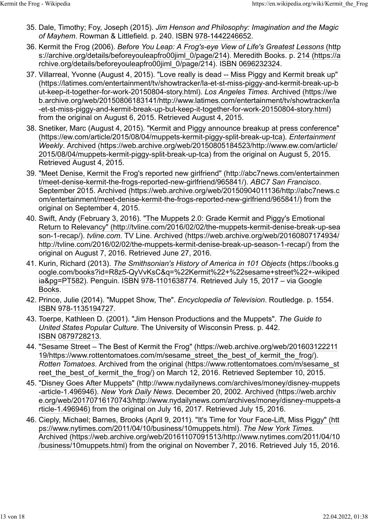- 35. Dale, Timothy; Foy, Joseph (2015). *Jim Henson and Philosophy: Imagination and the Magic of Mayhem*. Rowman & Littlefield. p. 240. [ISBN](https://en.wikipedia.org/wiki/ISBN_(identifier)) [978-1442246652.](https://en.wikipedia.org/wiki/Special:BookSources/978-1442246652)
- 36. Kermit the Frog (2006). *[Before You Leap: A Frog's-eye View of Life's Greatest Lessons](https://archive.org/details/beforeyouleapfro00jiml_0/page/214)* [\(http](https://archive.org/details/beforeyouleapfro00jiml_0/page/214) [s://archive.org/details/beforeyouleapfro00jiml\\_0/page/214\).](https://archive.org/details/beforeyouleapfro00jiml_0/page/214) Meredith Books. p. [214 \(https://a](https://archive.org/details/beforeyouleapfro00jiml_0/page/214) [rchive.org/details/beforeyouleapfro00jiml\\_0/page/214\).](https://archive.org/details/beforeyouleapfro00jiml_0/page/214) [ISBN](https://en.wikipedia.org/wiki/ISBN_(identifier)) [0696232324.](https://en.wikipedia.org/wiki/Special:BookSources/0696232324)
- 37. Villarreal, Yvonne (August 4, 2015). ["Love really is dead -- Miss Piggy and Kermit break up"](https://latimes.com/entertainment/tv/showtracker/la-et-st-miss-piggy-and-kermit-break-up-but-keep-it-together-for-work-20150804-story.html) [\(https://latimes.com/entertainment/tv/showtracker/la-et-st-miss-piggy-and-kermit-break-up-b](https://latimes.com/entertainment/tv/showtracker/la-et-st-miss-piggy-and-kermit-break-up-but-keep-it-together-for-work-20150804-story.html) [ut-keep-it-together-for-work-20150804-story.html\).](https://latimes.com/entertainment/tv/showtracker/la-et-st-miss-piggy-and-kermit-break-up-but-keep-it-together-for-work-20150804-story.html) *Los Angeles Times*. [Archived \(https://we](https://web.archive.org/web/20150806183141/http://www.latimes.com/entertainment/tv/showtracker/la-et-st-miss-piggy-and-kermit-break-up-but-keep-it-together-for-work-20150804-story.html) [b.archive.org/web/20150806183141/http://www.latimes.com/entertainment/tv/showtracker/la](https://web.archive.org/web/20150806183141/http://www.latimes.com/entertainment/tv/showtracker/la-et-st-miss-piggy-and-kermit-break-up-but-keep-it-together-for-work-20150804-story.html) [-et-st-miss-piggy-and-kermit-break-up-but-keep-it-together-for-work-20150804-story.html\)](https://web.archive.org/web/20150806183141/http://www.latimes.com/entertainment/tv/showtracker/la-et-st-miss-piggy-and-kermit-break-up-but-keep-it-together-for-work-20150804-story.html) from the original on August 6, 2015. Retrieved August 4, 2015.
- 38. Snetiker, Marc (August 4, 2015). ["Kermit and Piggy announce breakup at press conference"](https://ew.com/article/2015/08/04/muppets-kermit-piggy-split-break-up-tca) [\(https://ew.com/article/2015/08/04/muppets-kermit-piggy-split-break-up-tca\).](https://ew.com/article/2015/08/04/muppets-kermit-piggy-split-break-up-tca) *Entertainment Weekly*. [Archived \(https://web.archive.org/web/20150805184523/http://www.ew.com/article/](https://web.archive.org/web/20150805184523/http://www.ew.com/article/2015/08/04/muppets-kermit-piggy-split-break-up-tca) [2015/08/04/muppets-kermit-piggy-split-break-up-tca\)](https://web.archive.org/web/20150805184523/http://www.ew.com/article/2015/08/04/muppets-kermit-piggy-split-break-up-tca) from the original on August 5, 2015. Retrieved August 4, 2015.
- 39. ["Meet Denise, Kermit the Frog's reported new girlfriend" \(http://abc7news.com/entertainmen](http://abc7news.com/entertainment/meet-denise-kermit-the-frogs-reported-new-girlfriend/965841/) [t/meet-denise-kermit-the-frogs-reported-new-girlfriend/965841/\).](http://abc7news.com/entertainment/meet-denise-kermit-the-frogs-reported-new-girlfriend/965841/) *ABC7 San Francisco*. September 2015. [Archived \(https://web.archive.org/web/20150904011136/http://abc7news.c](https://web.archive.org/web/20150904011136/http://abc7news.com/entertainment/meet-denise-kermit-the-frogs-reported-new-girlfriend/965841/) [om/entertainment/meet-denise-kermit-the-frogs-reported-new-girlfriend/965841/\)](https://web.archive.org/web/20150904011136/http://abc7news.com/entertainment/meet-denise-kermit-the-frogs-reported-new-girlfriend/965841/) from the original on September 4, 2015.
- 40. Swift, Andy (February 3, 2016). ["The Muppets 2.0: Grade Kermit and Piggy's Emotional](http://tvline.com/2016/02/02/the-muppets-kermit-denise-break-up-season-1-recap/) [Return to Relevancy" \(http://tvline.com/2016/02/02/the-muppets-kermit-denise-break-up-sea](http://tvline.com/2016/02/02/the-muppets-kermit-denise-break-up-season-1-recap/) [son-1-recap/\).](http://tvline.com/2016/02/02/the-muppets-kermit-denise-break-up-season-1-recap/) *tvline.com*. TV Line. [Archived \(https://web.archive.org/web/20160807174934/](https://web.archive.org/web/20160807174934/http://tvline.com/2016/02/02/the-muppets-kermit-denise-break-up-season-1-recap/) [http://tvline.com/2016/02/02/the-muppets-kermit-denise-break-up-season-1-recap/\)](https://web.archive.org/web/20160807174934/http://tvline.com/2016/02/02/the-muppets-kermit-denise-break-up-season-1-recap/) from the original on August 7, 2016. Retrieved June 27, 2016.
- 41. Kurin, Richard (2013). *[The Smithsonian's History of America in 101 Objects](https://books.google.com/books?id=R8z5-QyVvKsC&q=%22Kermit%22+%22sesame+street%22+-wikipedia&pg=PT582)* [\(https://books.g](https://books.google.com/books?id=R8z5-QyVvKsC&q=%22Kermit%22+%22sesame+street%22+-wikipedia&pg=PT582) [oogle.com/books?id=R8z5-QyVvKsC&q=%22Kermit%22+%22sesame+street%22+-wikiped](https://books.google.com/books?id=R8z5-QyVvKsC&q=%22Kermit%22+%22sesame+street%22+-wikipedia&pg=PT582) [ia&pg=PT582\).](https://books.google.com/books?id=R8z5-QyVvKsC&q=%22Kermit%22+%22sesame+street%22+-wikipedia&pg=PT582) Penguin. [ISBN](https://en.wikipedia.org/wiki/ISBN_(identifier)) [978-1101638774.](https://en.wikipedia.org/wiki/Special:BookSources/978-1101638774) Retrieved July 15, 2017 – via [Google](https://en.wikipedia.org/wiki/Google_Books) [Books.](https://en.wikipedia.org/wiki/Google_Books)
- 42. Prince, Julie (2014). "Muppet Show, The". *Encyclopedia of Television*. Routledge. p. 1554. [ISBN](https://en.wikipedia.org/wiki/ISBN_(identifier)) [978-1135194727.](https://en.wikipedia.org/wiki/Special:BookSources/978-1135194727)
- 43. Toerpe, Kathleen D. (2001). "Jim Henson Productions and the Muppets". *The Guide to United States Popular Culture*. The University of Wisconsin Press. p. 442. [ISBN](https://en.wikipedia.org/wiki/ISBN_(identifier)) [0879728213.](https://en.wikipedia.org/wiki/Special:BookSources/0879728213)
- 44. ["Sesame Street The Best of Kermit the Frog" \(https://web.archive.org/web/201603122211](https://web.archive.org/web/20160312221119/https://www.rottentomatoes.com/m/sesame_street_the_best_of_kermit_the_frog/) [19/https://www.rottentomatoes.com/m/sesame\\_street\\_the\\_best\\_of\\_kermit\\_the\\_frog/\).](https://web.archive.org/web/20160312221119/https://www.rottentomatoes.com/m/sesame_street_the_best_of_kermit_the_frog/) *Rotten Tomatoes*. Archived from [the original \(https://www.rottentomatoes.com/m/sesame\\_st](https://www.rottentomatoes.com/m/sesame_street_the_best_of_kermit_the_frog/) [reet\\_the\\_best\\_of\\_kermit\\_the\\_frog/\)](https://www.rottentomatoes.com/m/sesame_street_the_best_of_kermit_the_frog/) on March 12, 2016. Retrieved September 10, 2015.
- 45. ["Disney Goes After Muppets" \(http://www.nydailynews.com/archives/money/disney-muppets](http://www.nydailynews.com/archives/money/disney-muppets-article-1.496946) [-article-1.496946\).](http://www.nydailynews.com/archives/money/disney-muppets-article-1.496946) *[New York Daily News](https://en.wikipedia.org/wiki/New_York_Daily_News)*. December 20, 2002. [Archived \(https://web.archiv](https://web.archive.org/web/20170716170743/http://www.nydailynews.com/archives/money/disney-muppets-article-1.496946) [e.org/web/20170716170743/http://www.nydailynews.com/archives/money/disney-muppets-a](https://web.archive.org/web/20170716170743/http://www.nydailynews.com/archives/money/disney-muppets-article-1.496946) [rticle-1.496946\)](https://web.archive.org/web/20170716170743/http://www.nydailynews.com/archives/money/disney-muppets-article-1.496946) from the original on July 16, 2017. Retrieved July 15, 2016.
- 46. Cieply, Michael; Barnes, Brooks (April 9, 2011). ["It's Time for Your Face-Lift, Miss Piggy" \(htt](https://www.nytimes.com/2011/04/10/business/10muppets.html) [ps://www.nytimes.com/2011/04/10/business/10muppets.html\).](https://www.nytimes.com/2011/04/10/business/10muppets.html) *[The New York Times](https://en.wikipedia.org/wiki/The_New_York_Times)*. [Archived \(https://web.archive.org/web/20161107091513/http://www.nytimes.com/2011/04/10](https://web.archive.org/web/20161107091513/http://www.nytimes.com/2011/04/10/business/10muppets.html) [/business/10muppets.html\)](https://web.archive.org/web/20161107091513/http://www.nytimes.com/2011/04/10/business/10muppets.html) from the original on November 7, 2016. Retrieved July 15, 2016.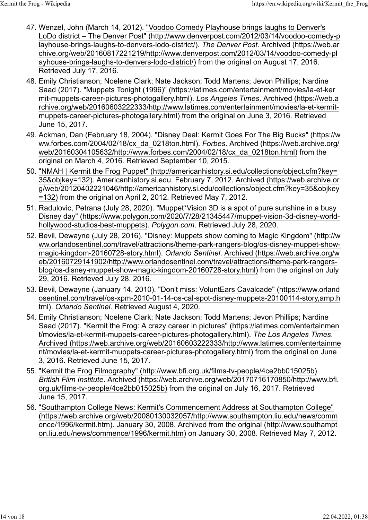- 47. Wenzel, John (March 14, 2012). ["Voodoo Comedy Playhouse brings laughs to Denver's](http://www.denverpost.com/2012/03/14/voodoo-comedy-playhouse-brings-laughs-to-denvers-lodo-district/) [LoDo district – The Denver Post" \(http://www.denverpost.com/2012/03/14/voodoo-comedy-p](http://www.denverpost.com/2012/03/14/voodoo-comedy-playhouse-brings-laughs-to-denvers-lodo-district/) [layhouse-brings-laughs-to-denvers-lodo-district/\).](http://www.denverpost.com/2012/03/14/voodoo-comedy-playhouse-brings-laughs-to-denvers-lodo-district/) *The Denver Post*. [Archived \(https://web.ar](https://web.archive.org/web/20160817221219/http://www.denverpost.com/2012/03/14/voodoo-comedy-playhouse-brings-laughs-to-denvers-lodo-district/) [chive.org/web/20160817221219/http://www.denverpost.com/2012/03/14/voodoo-comedy-pl](https://web.archive.org/web/20160817221219/http://www.denverpost.com/2012/03/14/voodoo-comedy-playhouse-brings-laughs-to-denvers-lodo-district/) [ayhouse-brings-laughs-to-denvers-lodo-district/\)](https://web.archive.org/web/20160817221219/http://www.denverpost.com/2012/03/14/voodoo-comedy-playhouse-brings-laughs-to-denvers-lodo-district/) from the original on August 17, 2016. Retrieved July 17, 2016.
- 48. Emily Christianson; Noelene Clark; Nate Jackson; Todd Martens; Jevon Phillips; Nardine Saad (2017). ["Muppets Tonight \(1996\)" \(https://latimes.com/entertainment/movies/la-et-ker](https://latimes.com/entertainment/movies/la-et-kermit-muppets-career-pictures-photogallery.html) [mit-muppets-career-pictures-photogallery.html\).](https://latimes.com/entertainment/movies/la-et-kermit-muppets-career-pictures-photogallery.html) *[Los Angeles Times](https://en.wikipedia.org/wiki/Los_Angeles_Times)*. [Archived \(https://web.a](https://web.archive.org/web/20160603222333/http://www.latimes.com/entertainment/movies/la-et-kermit-muppets-career-pictures-photogallery.html) [rchive.org/web/20160603222333/http://www.latimes.com/entertainment/movies/la-et-kermit](https://web.archive.org/web/20160603222333/http://www.latimes.com/entertainment/movies/la-et-kermit-muppets-career-pictures-photogallery.html)[muppets-career-pictures-photogallery.html\)](https://web.archive.org/web/20160603222333/http://www.latimes.com/entertainment/movies/la-et-kermit-muppets-career-pictures-photogallery.html) from the original on June 3, 2016. Retrieved June 15, 2017.
- 49. Ackman, Dan (February 18, 2004). ["Disney Deal: Kermit Goes For The Big Bucks" \(https://w](https://www.forbes.com/2004/02/18/cx_da_0218ton.html) [ww.forbes.com/2004/02/18/cx\\_da\\_0218ton.html\).](https://www.forbes.com/2004/02/18/cx_da_0218ton.html) *Forbes*. [Archived \(https://web.archive.org/](https://web.archive.org/web/20160304105632/http://www.forbes.com/2004/02/18/cx_da_0218ton.html) [web/20160304105632/http://www.forbes.com/2004/02/18/cx\\_da\\_0218ton.html\)](https://web.archive.org/web/20160304105632/http://www.forbes.com/2004/02/18/cx_da_0218ton.html) from the original on March 4, 2016. Retrieved September 10, 2015.
- 50. ["NMAH | Kermit the Frog Puppet" \(http://americanhistory.si.edu/collections/object.cfm?key=](http://americanhistory.si.edu/collections/object.cfm?key=35&objkey=132) [35&objkey=132\).](http://americanhistory.si.edu/collections/object.cfm?key=35&objkey=132) Americanhistory.si.edu. February 7, 2012. [Archived \(https://web.archive.or](https://web.archive.org/web/20120402221046/http://americanhistory.si.edu/collections/object.cfm?key=35&objkey=132) [g/web/20120402221046/http://americanhistory.si.edu/collections/object.cfm?key=35&objkey](https://web.archive.org/web/20120402221046/http://americanhistory.si.edu/collections/object.cfm?key=35&objkey=132) [=132\)](https://web.archive.org/web/20120402221046/http://americanhistory.si.edu/collections/object.cfm?key=35&objkey=132) from the original on April 2, 2012. Retrieved May 7, 2012.
- 51. Radulovic, Petrana (July 28, 2020). ["Muppet\\*Vision 3D is a spot of pure sunshine in a busy](https://www.polygon.com/2020/7/28/21345447/muppet-vision-3d-disney-world-hollywood-studios-best-muppets) [Disney day" \(https://www.polygon.com/2020/7/28/21345447/muppet-vision-3d-disney-world](https://www.polygon.com/2020/7/28/21345447/muppet-vision-3d-disney-world-hollywood-studios-best-muppets)[hollywood-studios-best-muppets\).](https://www.polygon.com/2020/7/28/21345447/muppet-vision-3d-disney-world-hollywood-studios-best-muppets) *Polygon.com*. Retrieved July 28, 2020.
- 52. Bevil, Dewayne (July 28, 2016). ["Disney: Muppets show coming to Magic Kingdom" \(http://w](http://www.orlandosentinel.com/travel/attractions/theme-park-rangers-blog/os-disney-muppet-show-magic-kingdom-20160728-story.html) [ww.orlandosentinel.com/travel/attractions/theme-park-rangers-blog/os-disney-muppet-show](http://www.orlandosentinel.com/travel/attractions/theme-park-rangers-blog/os-disney-muppet-show-magic-kingdom-20160728-story.html)[magic-kingdom-20160728-story.html\).](http://www.orlandosentinel.com/travel/attractions/theme-park-rangers-blog/os-disney-muppet-show-magic-kingdom-20160728-story.html) *Orlando Sentinel*. [Archived \(https://web.archive.org/w](https://web.archive.org/web/20160729141902/http://www.orlandosentinel.com/travel/attractions/theme-park-rangers-blog/os-disney-muppet-show-magic-kingdom-20160728-story.html) [eb/20160729141902/http://www.orlandosentinel.com/travel/attractions/theme-park-rangers](https://web.archive.org/web/20160729141902/http://www.orlandosentinel.com/travel/attractions/theme-park-rangers-blog/os-disney-muppet-show-magic-kingdom-20160728-story.html)[blog/os-disney-muppet-show-magic-kingdom-20160728-story.html\)](https://web.archive.org/web/20160729141902/http://www.orlandosentinel.com/travel/attractions/theme-park-rangers-blog/os-disney-muppet-show-magic-kingdom-20160728-story.html) from the original on July 29, 2016. Retrieved July 28, 2016.
- 53. Bevil, Dewayne (January 14, 2010). ["Don't miss: VoluntEars Cavalcade" \(https://www.orland](https://www.orlandosentinel.com/travel/os-xpm-2010-01-14-os-cal-spot-disney-muppets-20100114-story,amp.html) [osentinel.com/travel/os-xpm-2010-01-14-os-cal-spot-disney-muppets-20100114-story,amp.h](https://www.orlandosentinel.com/travel/os-xpm-2010-01-14-os-cal-spot-disney-muppets-20100114-story,amp.html) [tml\).](https://www.orlandosentinel.com/travel/os-xpm-2010-01-14-os-cal-spot-disney-muppets-20100114-story,amp.html) *Orlando Sentinel*. Retrieved August 4, 2020.
- 54. Emily Christianson; Noelene Clark; Nate Jackson; Todd Martens; Jevon Phillips; Nardine Saad (2017). ["Kermit the Frog: A crazy career in pictures" \(https://latimes.com/entertainmen](https://latimes.com/entertainment/movies/la-et-kermit-muppets-career-pictures-photogallery.html) [t/movies/la-et-kermit-muppets-career-pictures-photogallery.html\).](https://latimes.com/entertainment/movies/la-et-kermit-muppets-career-pictures-photogallery.html) *[The Los Angeles Times](https://en.wikipedia.org/wiki/The_Los_Angeles_Times)*. [Archived \(https://web.archive.org/web/20160603222333/http://www.latimes.com/entertainme](https://web.archive.org/web/20160603222333/http://www.latimes.com/entertainment/movies/la-et-kermit-muppets-career-pictures-photogallery.html) [nt/movies/la-et-kermit-muppets-career-pictures-photogallery.html\)](https://web.archive.org/web/20160603222333/http://www.latimes.com/entertainment/movies/la-et-kermit-muppets-career-pictures-photogallery.html) from the original on June 3, 2016. Retrieved June 15, 2017.
- 55. ["Kermit the Frog Filmography" \(http://www.bfi.org.uk/films-tv-people/4ce2bb015025b\).](http://www.bfi.org.uk/films-tv-people/4ce2bb015025b) *[British Film Institute](https://en.wikipedia.org/wiki/British_Film_Institute)*. [Archived \(https://web.archive.org/web/20170716170850/http://www.bfi.](https://web.archive.org/web/20170716170850/http://www.bfi.org.uk/films-tv-people/4ce2bb015025b) [org.uk/films-tv-people/4ce2bb015025b\)](https://web.archive.org/web/20170716170850/http://www.bfi.org.uk/films-tv-people/4ce2bb015025b) from the original on July 16, 2017. Retrieved June 15, 2017.
- 56. ["Southampton College News: Kermit's Commencement Address at Southampton College"](https://web.archive.org/web/20080130032057/http://www.southampton.liu.edu/news/commence/1996/kermit.htm) [\(https://web.archive.org/web/20080130032057/http://www.southampton.liu.edu/news/comm](https://web.archive.org/web/20080130032057/http://www.southampton.liu.edu/news/commence/1996/kermit.htm) [ence/1996/kermit.htm\).](https://web.archive.org/web/20080130032057/http://www.southampton.liu.edu/news/commence/1996/kermit.htm) January 30, 2008. Archived from [the original \(http://www.southampt](http://www.southampton.liu.edu/news/commence/1996/kermit.htm) [on.liu.edu/news/commence/1996/kermit.htm\)](http://www.southampton.liu.edu/news/commence/1996/kermit.htm) on January 30, 2008. Retrieved May 7, 2012.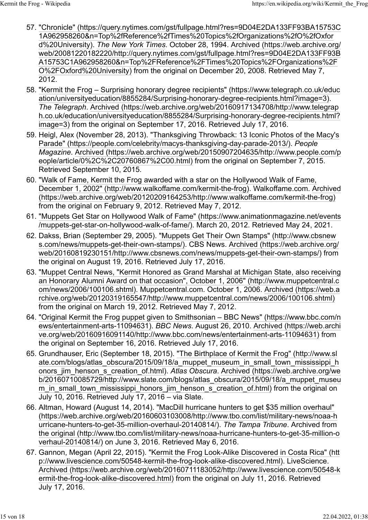- 57. ["Chronicle" \(https://query.nytimes.com/gst/fullpage.html?res=9D04E2DA133FF93BA15753C](https://query.nytimes.com/gst/fullpage.html?res=9D04E2DA133FF93BA15753C1A962958260&n=Top%2fReference%2fTimes%20Topics%2fOrganizations%2fO%2fOxford%20University) [1A962958260&n=Top%2fReference%2fTimes%20Topics%2fOrganizations%2fO%2fOxfor](https://query.nytimes.com/gst/fullpage.html?res=9D04E2DA133FF93BA15753C1A962958260&n=Top%2fReference%2fTimes%20Topics%2fOrganizations%2fO%2fOxford%20University) [d%20University\).](https://query.nytimes.com/gst/fullpage.html?res=9D04E2DA133FF93BA15753C1A962958260&n=Top%2fReference%2fTimes%20Topics%2fOrganizations%2fO%2fOxford%20University) *[The New York Times](https://en.wikipedia.org/wiki/The_New_York_Times)*. October 28, 1994. [Archived \(https://web.archive.org/](https://web.archive.org/web/20081220182220/http://query.nytimes.com/gst/fullpage.html?res=9D04E2DA133FF93BA15753C1A962958260&n=Top%2FReference%2FTimes%20Topics%2FOrganizations%2FO%2FOxford%20University) [web/20081220182220/http://query.nytimes.com/gst/fullpage.html?res=9D04E2DA133FF93B](https://web.archive.org/web/20081220182220/http://query.nytimes.com/gst/fullpage.html?res=9D04E2DA133FF93BA15753C1A962958260&n=Top%2FReference%2FTimes%20Topics%2FOrganizations%2FO%2FOxford%20University) [A15753C1A962958260&n=Top%2FReference%2FTimes%20Topics%2FOrganizations%2F](https://web.archive.org/web/20081220182220/http://query.nytimes.com/gst/fullpage.html?res=9D04E2DA133FF93BA15753C1A962958260&n=Top%2FReference%2FTimes%20Topics%2FOrganizations%2FO%2FOxford%20University) [O%2FOxford%20University\)](https://web.archive.org/web/20081220182220/http://query.nytimes.com/gst/fullpage.html?res=9D04E2DA133FF93BA15753C1A962958260&n=Top%2FReference%2FTimes%20Topics%2FOrganizations%2FO%2FOxford%20University) from the original on December 20, 2008. Retrieved May 7, 2012.
- 58. ["Kermit the Frog Surprising honorary degree recipients" \(https://www.telegraph.co.uk/educ](https://www.telegraph.co.uk/education/universityeducation/8855284/Surprising-honorary-degree-recipients.html?image=3) [ation/universityeducation/8855284/Surprising-honorary-degree-recipients.html?image=3\).](https://www.telegraph.co.uk/education/universityeducation/8855284/Surprising-honorary-degree-recipients.html?image=3) *The Telegraph*. [Archived \(https://web.archive.org/web/20160917134708/http://www.telegrap](https://web.archive.org/web/20160917134708/http://www.telegraph.co.uk/education/universityeducation/8855284/Surprising-honorary-degree-recipients.html?image=3) [h.co.uk/education/universityeducation/8855284/Surprising-honorary-degree-recipients.html?](https://web.archive.org/web/20160917134708/http://www.telegraph.co.uk/education/universityeducation/8855284/Surprising-honorary-degree-recipients.html?image=3) [image=3\)](https://web.archive.org/web/20160917134708/http://www.telegraph.co.uk/education/universityeducation/8855284/Surprising-honorary-degree-recipients.html?image=3) from the original on September 17, 2016. Retrieved July 17, 2016.
- 59. Heigl, Alex (November 28, 2013). ["Thanksgiving Throwback: 13 Iconic Photos of the Macy's](https://people.com/celebrity/macys-thanksgiving-day-parade-2013/) [Parade" \(https://people.com/celebrity/macys-thanksgiving-day-parade-2013/\).](https://people.com/celebrity/macys-thanksgiving-day-parade-2013/) *People Magazine*. [Archived \(https://web.archive.org/web/20150907204635/http://www.people.com/p](https://web.archive.org/web/20150907204635/http://www.people.com/people/article/0%2C%2C20760867%2C00.html) [eople/article/0%2C%2C20760867%2C00.html\)](https://web.archive.org/web/20150907204635/http://www.people.com/people/article/0%2C%2C20760867%2C00.html) from the original on September 7, 2015. Retrieved September 10, 2015.
- 60. ["Walk of Fame, Kermit the Frog awarded with a star on the Hollywood Walk of Fame,](http://www.walkoffame.com/kermit-the-frog) [December 1, 2002" \(http://www.walkoffame.com/kermit-the-frog\).](http://www.walkoffame.com/kermit-the-frog) Walkoffame.com. [Archived](https://web.archive.org/web/20120209164253/http://www.walkoffame.com/kermit-the-frog) [\(https://web.archive.org/web/20120209164253/http://www.walkoffame.com/kermit-the-frog\)](https://web.archive.org/web/20120209164253/http://www.walkoffame.com/kermit-the-frog) from the original on February 9, 2012. Retrieved May 7, 2012.
- 61. ["Muppets Get Star on Hollywood Walk of Fame" \(https://www.animationmagazine.net/events](https://www.animationmagazine.net/events/muppets-get-star-on-hollywood-walk-of-fame/) [/muppets-get-star-on-hollywood-walk-of-fame/\).](https://www.animationmagazine.net/events/muppets-get-star-on-hollywood-walk-of-fame/) March 20, 2012. Retrieved May 24, 2021.
- 62. Dakss, Brian (September 29, 2005). ["Muppets Get Their Own Stamps" \(http://www.cbsnew](http://www.cbsnews.com/news/muppets-get-their-own-stamps/) [s.com/news/muppets-get-their-own-stamps/\).](http://www.cbsnews.com/news/muppets-get-their-own-stamps/) CBS News. [Archived \(https://web.archive.org/](https://web.archive.org/web/20160819230151/http://www.cbsnews.com/news/muppets-get-their-own-stamps/) [web/20160819230151/http://www.cbsnews.com/news/muppets-get-their-own-stamps/\)](https://web.archive.org/web/20160819230151/http://www.cbsnews.com/news/muppets-get-their-own-stamps/) from the original on August 19, 2016. Retrieved July 17, 2016.
- 63. ["Muppet Central News, "Kermit Honored as Grand Marshal at Michigan State, also receiving](http://www.muppetcentral.com/news/2006/100106.shtml) [an Honorary Alumni Award on that occasion", October 1, 2006" \(http://www.muppetcentral.c](http://www.muppetcentral.com/news/2006/100106.shtml) [om/news/2006/100106.shtml\).](http://www.muppetcentral.com/news/2006/100106.shtml) Muppetcentral.com. October 1, 2006. [Archived \(https://web.a](https://web.archive.org/web/20120319165547/http://www.muppetcentral.com/news/2006/100106.shtml) [rchive.org/web/20120319165547/http://www.muppetcentral.com/news/2006/100106.shtml\)](https://web.archive.org/web/20120319165547/http://www.muppetcentral.com/news/2006/100106.shtml) from the original on March 19, 2012. Retrieved May 7, 2012.
- 64. ["Original Kermit the Frog puppet given to Smithsonian BBC News" \(https://www.bbc.com/n](https://www.bbc.com/news/entertainment-arts-11094631) [ews/entertainment-arts-11094631\).](https://www.bbc.com/news/entertainment-arts-11094631) *BBC News*. August 26, 2010. [Archived \(https://web.archi](https://web.archive.org/web/20160916091140/http://www.bbc.com/news/entertainment-arts-11094631) [ve.org/web/20160916091140/http://www.bbc.com/news/entertainment-arts-11094631\)](https://web.archive.org/web/20160916091140/http://www.bbc.com/news/entertainment-arts-11094631) from the original on September 16, 2016. Retrieved July 17, 2016.
- 65. Grundhauser, Eric (September 18, 2015). ["The Birthplace of Kermit the Frog" \(http://www.sl](http://www.slate.com/blogs/atlas_obscura/2015/09/18/a_muppet_museum_in_small_town_mississippi_honors_jim_henson_s_creation_of.html) [ate.com/blogs/atlas\\_obscura/2015/09/18/a\\_muppet\\_museum\\_in\\_small\\_town\\_mississippi\\_h](http://www.slate.com/blogs/atlas_obscura/2015/09/18/a_muppet_museum_in_small_town_mississippi_honors_jim_henson_s_creation_of.html) [onors\\_jim\\_henson\\_s\\_creation\\_of.html\).](http://www.slate.com/blogs/atlas_obscura/2015/09/18/a_muppet_museum_in_small_town_mississippi_honors_jim_henson_s_creation_of.html) *Atlas Obscura*. [Archived \(https://web.archive.org/we](https://web.archive.org/web/20160710085729/http://www.slate.com/blogs/atlas_obscura/2015/09/18/a_muppet_museum_in_small_town_mississippi_honors_jim_henson_s_creation_of.html) [b/20160710085729/http://www.slate.com/blogs/atlas\\_obscura/2015/09/18/a\\_muppet\\_museu](https://web.archive.org/web/20160710085729/http://www.slate.com/blogs/atlas_obscura/2015/09/18/a_muppet_museum_in_small_town_mississippi_honors_jim_henson_s_creation_of.html) m in small town mississippi honors jim henson s creation of.html) from the original on July 10, 2016. Retrieved July 17, 2016 – via Slate.
- 66. Altman, Howard (August 14, 2014). ["MacDill hurricane hunters to get \\$35 million overhaul"](https://web.archive.org/web/20160603103008/http://www.tbo.com/list/military-news/noaa-hurricane-hunters-to-get-35-million-overhaul-20140814/) [\(https://web.archive.org/web/20160603103008/http://www.tbo.com/list/military-news/noaa-h](https://web.archive.org/web/20160603103008/http://www.tbo.com/list/military-news/noaa-hurricane-hunters-to-get-35-million-overhaul-20140814/) [urricane-hunters-to-get-35-million-overhaul-20140814/\).](https://web.archive.org/web/20160603103008/http://www.tbo.com/list/military-news/noaa-hurricane-hunters-to-get-35-million-overhaul-20140814/) *The Tampa Tribune*. Archived from [the original \(http://www.tbo.com/list/military-news/noaa-hurricane-hunters-to-get-35-million-o](http://www.tbo.com/list/military-news/noaa-hurricane-hunters-to-get-35-million-overhaul-20140814/) [verhaul-20140814/\)](http://www.tbo.com/list/military-news/noaa-hurricane-hunters-to-get-35-million-overhaul-20140814/) on June 3, 2016. Retrieved May 6, 2016.
- 67. Gannon, Megan (April 22, 2015). ["Kermit the Frog Look-Alike Discovered in Costa Rica" \(htt](http://www.livescience.com/50548-kermit-the-frog-look-alike-discovered.html) [p://www.livescience.com/50548-kermit-the-frog-look-alike-discovered.html\).](http://www.livescience.com/50548-kermit-the-frog-look-alike-discovered.html) LiveScience. [Archived \(https://web.archive.org/web/20160711183052/http://www.livescience.com/50548-k](https://web.archive.org/web/20160711183052/http://www.livescience.com/50548-kermit-the-frog-look-alike-discovered.html) [ermit-the-frog-look-alike-discovered.html\)](https://web.archive.org/web/20160711183052/http://www.livescience.com/50548-kermit-the-frog-look-alike-discovered.html) from the original on July 11, 2016. Retrieved July 17, 2016.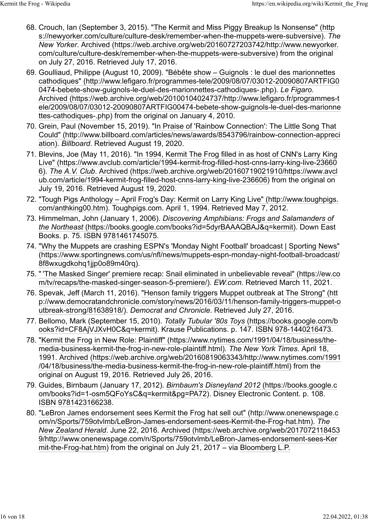- 68. Crouch, Ian (September 3, 2015). ["The Kermit and Miss Piggy Breakup Is Nonsense" \(http](https://newyorker.com/culture/culture-desk/remember-when-the-muppets-were-subversive) [s://newyorker.com/culture/culture-desk/remember-when-the-muppets-were-subversive\).](https://newyorker.com/culture/culture-desk/remember-when-the-muppets-were-subversive) *The New Yorker*. [Archived \(https://web.archive.org/web/20160727203742/http://www.newyorker.](https://web.archive.org/web/20160727203742/http://www.newyorker.com/culture/culture-desk/remember-when-the-muppets-were-subversive) [com/culture/culture-desk/remember-when-the-muppets-were-subversive\)](https://web.archive.org/web/20160727203742/http://www.newyorker.com/culture/culture-desk/remember-when-the-muppets-were-subversive) from the original on July 27, 2016. Retrieved July 17, 2016.
- 69. Goulliaud, Philippe (August 10, 2009). ["Bébête show Guignols : le duel des marionnettes](http://www.lefigaro.fr/programmes-tele/2009/08/07/03012-20090807ARTFIG00474-bebete-show-guignols-le-duel-des-marionnettes-cathodiques-.php) [cathodiques" \(http://www.lefigaro.fr/programmes-tele/2009/08/07/03012-20090807ARTFIG0](http://www.lefigaro.fr/programmes-tele/2009/08/07/03012-20090807ARTFIG00474-bebete-show-guignols-le-duel-des-marionnettes-cathodiques-.php) [0474-bebete-show-guignols-le-duel-des-marionnettes-cathodiques-.php\).](http://www.lefigaro.fr/programmes-tele/2009/08/07/03012-20090807ARTFIG00474-bebete-show-guignols-le-duel-des-marionnettes-cathodiques-.php) *[Le Figaro](https://en.wikipedia.org/wiki/Le_Figaro)*. [Archived \(https://web.archive.org/web/20100104024737/http://www.lefigaro.fr/programmes-t](https://web.archive.org/web/20100104024737/http://www.lefigaro.fr/programmes-tele/2009/08/07/03012-20090807ARTFIG00474-bebete-show-guignols-le-duel-des-marionnettes-cathodiques-.php) [ele/2009/08/07/03012-20090807ARTFIG00474-bebete-show-guignols-le-duel-des-marionne](https://web.archive.org/web/20100104024737/http://www.lefigaro.fr/programmes-tele/2009/08/07/03012-20090807ARTFIG00474-bebete-show-guignols-le-duel-des-marionnettes-cathodiques-.php) [ttes-cathodiques-.php\)](https://web.archive.org/web/20100104024737/http://www.lefigaro.fr/programmes-tele/2009/08/07/03012-20090807ARTFIG00474-bebete-show-guignols-le-duel-des-marionnettes-cathodiques-.php) from the original on January 4, 2010.
- 70. Grein, Paul (November 15, 2019). ["In Praise of 'Rainbow Connection': The Little Song That](http://www.billboard.com/articles/news/awards/8543796/rainbow-connection-appreciation) [Could" \(http://www.billboard.com/articles/news/awards/8543796/rainbow-connection-appreci](http://www.billboard.com/articles/news/awards/8543796/rainbow-connection-appreciation) [ation\).](http://www.billboard.com/articles/news/awards/8543796/rainbow-connection-appreciation) *Billboard*. Retrieved August 19, 2020.
- 71. Blevins, Joe (May 11, 2016). ["In 1994, Kermit The Frog filled in as host of CNN's Larry King](https://www.avclub.com/article/1994-kermit-frog-filled-host-cnns-larry-king-live-236606) [Live" \(https://www.avclub.com/article/1994-kermit-frog-filled-host-cnns-larry-king-live-23660](https://www.avclub.com/article/1994-kermit-frog-filled-host-cnns-larry-king-live-236606) [6\).](https://www.avclub.com/article/1994-kermit-frog-filled-host-cnns-larry-king-live-236606) *[The A.V. Club](https://en.wikipedia.org/wiki/The_A.V._Club)*. [Archived \(https://web.archive.org/web/20160719021910/https://www.avcl](https://web.archive.org/web/20160719021910/https://www.avclub.com/article/1994-kermit-frog-filled-host-cnns-larry-king-live-236606) [ub.com/article/1994-kermit-frog-filled-host-cnns-larry-king-live-236606\)](https://web.archive.org/web/20160719021910/https://www.avclub.com/article/1994-kermit-frog-filled-host-cnns-larry-king-live-236606) from the original on July 19, 2016. Retrieved August 19, 2020.
- 72. ["Tough Pigs Anthology April Frog's Day: Kermit on Larry King Live" \(http://www.toughpigs.](http://www.toughpigs.com/anthking00.htm) [com/anthking00.htm\).](http://www.toughpigs.com/anthking00.htm) Toughpigs.com. April 1, 1994. Retrieved May 7, 2012.
- 73. Himmelman, John (January 1, 2006). *[Discovering Amphibians: Frogs and Salamanders of](https://books.google.com/books?id=5dyrBAAAQBAJ&q=kermit) [the Northeast](https://books.google.com/books?id=5dyrBAAAQBAJ&q=kermit)* [\(https://books.google.com/books?id=5dyrBAAAQBAJ&q=kermit\).](https://books.google.com/books?id=5dyrBAAAQBAJ&q=kermit) Down East Books. p. 75. [ISBN](https://en.wikipedia.org/wiki/ISBN_(identifier)) [9781461745075.](https://en.wikipedia.org/wiki/Special:BookSources/9781461745075)
- 74. ["Why the Muppets are crashing ESPN's 'Monday Night Football' broadcast | Sporting News"](https://www.sportingnews.com/us/nfl/news/muppets-espn-monday-night-football-broadcast/8f8wxugdkohq1jjp0o89m40rq) [\(https://www.sportingnews.com/us/nfl/news/muppets-espn-monday-night-football-broadcast/](https://www.sportingnews.com/us/nfl/news/muppets-espn-monday-night-football-broadcast/8f8wxugdkohq1jjp0o89m40rq) [8f8wxugdkohq1jjp0o89m40rq\).](https://www.sportingnews.com/us/nfl/news/muppets-espn-monday-night-football-broadcast/8f8wxugdkohq1jjp0o89m40rq)
- 75. ["](https://ew.com/tv/recaps/the-masked-singer-season-5-premiere/) ['The Masked Singer' premiere recap: Snail eliminated in unbelievable reveal" \(https://ew.co](https://ew.com/tv/recaps/the-masked-singer-season-5-premiere/) [m/tv/recaps/the-masked-singer-season-5-premiere/\).](https://ew.com/tv/recaps/the-masked-singer-season-5-premiere/) *EW.com*. Retrieved March 11, 2021.
- 76. Spevak, Jeff (March 11, 2016). ["Henson family triggers Muppet outbreak at The Strong" \(htt](http://www.democratandchronicle.com/story/news/2016/03/11/henson-family-triggers-muppet-outbreak-strong/81638918/) [p://www.democratandchronicle.com/story/news/2016/03/11/henson-family-triggers-muppet-o](http://www.democratandchronicle.com/story/news/2016/03/11/henson-family-triggers-muppet-outbreak-strong/81638918/) [utbreak-strong/81638918/\).](http://www.democratandchronicle.com/story/news/2016/03/11/henson-family-triggers-muppet-outbreak-strong/81638918/) *Democrat and Chronicle*. Retrieved July 27, 2016.
- 77. Bellomo, Mark (September 15, 2010). *[Totally Tubular '80s Toys](https://books.google.com/books?id=CF8AjVJXvH0C&q=kermit)* [\(https://books.google.com/b](https://books.google.com/books?id=CF8AjVJXvH0C&q=kermit) [ooks?id=CF8AjVJXvH0C&q=kermit\).](https://books.google.com/books?id=CF8AjVJXvH0C&q=kermit) Krause Publications. p. 147. [ISBN](https://en.wikipedia.org/wiki/ISBN_(identifier)) [978-1440216473.](https://en.wikipedia.org/wiki/Special:BookSources/978-1440216473)
- 78. ["Kermit the Frog in New Role: Plaintiff" \(https://www.nytimes.com/1991/04/18/business/the](https://www.nytimes.com/1991/04/18/business/the-media-business-kermit-the-frog-in-new-role-plaintiff.html)[media-business-kermit-the-frog-in-new-role-plaintiff.html\).](https://www.nytimes.com/1991/04/18/business/the-media-business-kermit-the-frog-in-new-role-plaintiff.html) *The New York Times*. April 18, 1991. [Archived \(https://web.archive.org/web/20160819063343/http://www.nytimes.com/1991](https://web.archive.org/web/20160819063343/http://www.nytimes.com/1991/04/18/business/the-media-business-kermit-the-frog-in-new-role-plaintiff.html) [/04/18/business/the-media-business-kermit-the-frog-in-new-role-plaintiff.html\)](https://web.archive.org/web/20160819063343/http://www.nytimes.com/1991/04/18/business/the-media-business-kermit-the-frog-in-new-role-plaintiff.html) from the original on August 19, 2016. Retrieved July 26, 2016.
- 79. Guides, Birnbaum (January 17, 2012). *[Birnbaum's Disneyland 2012](https://books.google.com/books?id=1-osm5QFoYsC&q=kermit&pg=PA72)* [\(https://books.google.c](https://books.google.com/books?id=1-osm5QFoYsC&q=kermit&pg=PA72) [om/books?id=1-osm5QFoYsC&q=kermit&pg=PA72\).](https://books.google.com/books?id=1-osm5QFoYsC&q=kermit&pg=PA72) Disney Electronic Content. p. 108. [ISBN](https://en.wikipedia.org/wiki/ISBN_(identifier)) [9781423166238.](https://en.wikipedia.org/wiki/Special:BookSources/9781423166238)
- 80. ["LeBron James endorsement sees Kermit the Frog hat sell out" \(http://www.onenewspage.c](http://www.onenewspage.com/n/Sports/759otvlmb/LeBron-James-endorsement-sees-Kermit-the-Frog-hat.htm) [om/n/Sports/759otvlmb/LeBron-James-endorsement-sees-Kermit-the-Frog-hat.htm\).](http://www.onenewspage.com/n/Sports/759otvlmb/LeBron-James-endorsement-sees-Kermit-the-Frog-hat.htm) *[The](https://en.wikipedia.org/wiki/The_New_Zealand_Herald) [New Zealand Herald](https://en.wikipedia.org/wiki/The_New_Zealand_Herald)*. June 22, 2016. [Archived \(https://web.archive.org/web/2017072118453](https://web.archive.org/web/20170721184539/http://www.onenewspage.com/n/Sports/759otvlmb/LeBron-James-endorsement-sees-Kermit-the-Frog-hat.htm) [9/http://www.onenewspage.com/n/Sports/759otvlmb/LeBron-James-endorsement-sees-Ker](https://web.archive.org/web/20170721184539/http://www.onenewspage.com/n/Sports/759otvlmb/LeBron-James-endorsement-sees-Kermit-the-Frog-hat.htm) [mit-the-Frog-hat.htm\)](https://web.archive.org/web/20170721184539/http://www.onenewspage.com/n/Sports/759otvlmb/LeBron-James-endorsement-sees-Kermit-the-Frog-hat.htm) from the original on July 21, 2017 – via [Bloomberg L.P.](https://en.wikipedia.org/wiki/Bloomberg_L.P.)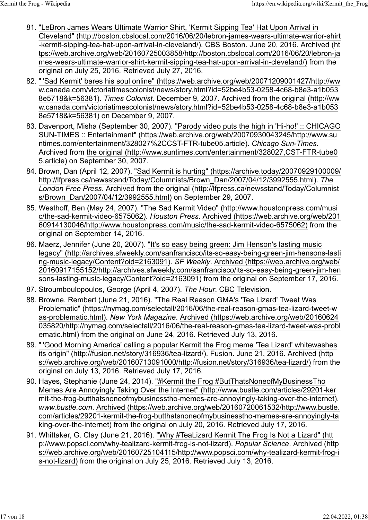- 81. ["LeBron James Wears Ultimate Warrior Shirt, 'Kermit Sipping Tea' Hat Upon Arrival in](http://boston.cbslocal.com/2016/06/20/lebron-james-wears-ultimate-warrior-shirt-kermit-sipping-tea-hat-upon-arrival-in-cleveland/) [Cleveland" \(http://boston.cbslocal.com/2016/06/20/lebron-james-wears-ultimate-warrior-shirt](http://boston.cbslocal.com/2016/06/20/lebron-james-wears-ultimate-warrior-shirt-kermit-sipping-tea-hat-upon-arrival-in-cleveland/) [-kermit-sipping-tea-hat-upon-arrival-in-cleveland/\).](http://boston.cbslocal.com/2016/06/20/lebron-james-wears-ultimate-warrior-shirt-kermit-sipping-tea-hat-upon-arrival-in-cleveland/) CBS Boston. June 20, 2016. [Archived \(ht](https://web.archive.org/web/20160725003858/http://boston.cbslocal.com/2016/06/20/lebron-james-wears-ultimate-warrior-shirt-kermit-sipping-tea-hat-upon-arrival-in-cleveland/) [tps://web.archive.org/web/20160725003858/http://boston.cbslocal.com/2016/06/20/lebron-ja](https://web.archive.org/web/20160725003858/http://boston.cbslocal.com/2016/06/20/lebron-james-wears-ultimate-warrior-shirt-kermit-sipping-tea-hat-upon-arrival-in-cleveland/) [mes-wears-ultimate-warrior-shirt-kermit-sipping-tea-hat-upon-arrival-in-cleveland/\)](https://web.archive.org/web/20160725003858/http://boston.cbslocal.com/2016/06/20/lebron-james-wears-ultimate-warrior-shirt-kermit-sipping-tea-hat-upon-arrival-in-cleveland/) from the original on July 25, 2016. Retrieved July 27, 2016.
- 82. ["](https://web.archive.org/web/20071209001427/http://www.canada.com/victoriatimescolonist/news/story.html?id=52be4b53-0258-4c68-b8e3-a1b0538e5718&k=56381) ['Sad Kermit' bares his soul online" \(https://web.archive.org/web/20071209001427/http://ww](https://web.archive.org/web/20071209001427/http://www.canada.com/victoriatimescolonist/news/story.html?id=52be4b53-0258-4c68-b8e3-a1b0538e5718&k=56381) [w.canada.com/victoriatimescolonist/news/story.html?id=52be4b53-0258-4c68-b8e3-a1b053](https://web.archive.org/web/20071209001427/http://www.canada.com/victoriatimescolonist/news/story.html?id=52be4b53-0258-4c68-b8e3-a1b0538e5718&k=56381) [8e5718&k=56381\).](https://web.archive.org/web/20071209001427/http://www.canada.com/victoriatimescolonist/news/story.html?id=52be4b53-0258-4c68-b8e3-a1b0538e5718&k=56381) *Times Colonist*. December 9, 2007. Archived from [the original \(http://ww](http://www.canada.com/victoriatimescolonist/news/story.html?id=52be4b53-0258-4c68-b8e3-a1b0538e5718&k=56381) [w.canada.com/victoriatimescolonist/news/story.html?id=52be4b53-0258-4c68-b8e3-a1b053](http://www.canada.com/victoriatimescolonist/news/story.html?id=52be4b53-0258-4c68-b8e3-a1b0538e5718&k=56381) [8e5718&k=56381\)](http://www.canada.com/victoriatimescolonist/news/story.html?id=52be4b53-0258-4c68-b8e3-a1b0538e5718&k=56381) on December 9, 2007.
- 83. Davenport, Misha (September 30, 2007). ["Parody video puts the high in 'Hi-ho!' :: CHICAGO](https://web.archive.org/web/20070930043245/http://www.suntimes.com/entertainment/328027%2CCST-FTR-tube05.article) [SUN-TIMES :: Entertainment" \(https://web.archive.org/web/20070930043245/http://www.su](https://web.archive.org/web/20070930043245/http://www.suntimes.com/entertainment/328027%2CCST-FTR-tube05.article) [ntimes.com/entertainment/328027%2CCST-FTR-tube05.article\).](https://web.archive.org/web/20070930043245/http://www.suntimes.com/entertainment/328027%2CCST-FTR-tube05.article) *Chicago Sun-Times*. Archived from [the original \(http://www.suntimes.com/entertainment/328027,CST-FTR-tube0](http://www.suntimes.com/entertainment/328027,CST-FTR-tube05.article) [5.article\)](http://www.suntimes.com/entertainment/328027,CST-FTR-tube05.article) on September 30, 2007.
- 84. Brown, Dan (April 12, 2007). ["Sad Kermit is hurting" \(https://archive.today/20070929100009/](https://archive.today/20070929100009/http://lfpress.ca/newsstand/Today/Columnists/Brown_Dan/2007/04/12/3992555.html) [http://lfpress.ca/newsstand/Today/Columnists/Brown\\_Dan/2007/04/12/3992555.html\).](https://archive.today/20070929100009/http://lfpress.ca/newsstand/Today/Columnists/Brown_Dan/2007/04/12/3992555.html) *[The](https://en.wikipedia.org/wiki/The_London_Free_Press) [London Free Press](https://en.wikipedia.org/wiki/The_London_Free_Press)*. Archived from [the original \(http://lfpress.ca/newsstand/Today/Columnist](http://lfpress.ca/newsstand/Today/Columnists/Brown_Dan/2007/04/12/3992555.html) [s/Brown\\_Dan/2007/04/12/3992555.html\)](http://lfpress.ca/newsstand/Today/Columnists/Brown_Dan/2007/04/12/3992555.html) on September 29, 2007.
- 85. Westhoff, Ben (May 24, 2007). ["The Sad Kermit Video" \(http://www.houstonpress.com/musi](http://www.houstonpress.com/music/the-sad-kermit-video-6575062) [c/the-sad-kermit-video-6575062\).](http://www.houstonpress.com/music/the-sad-kermit-video-6575062) *Houston Press*. [Archived \(https://web.archive.org/web/201](https://web.archive.org/web/20160914130046/http://www.houstonpress.com/music/the-sad-kermit-video-6575062) [60914130046/http://www.houstonpress.com/music/the-sad-kermit-video-6575062\)](https://web.archive.org/web/20160914130046/http://www.houstonpress.com/music/the-sad-kermit-video-6575062) from the original on September 14, 2016.
- 86. Maerz, Jennifer (June 20, 2007). ["It's so easy being green: Jim Henson's lasting music](http://archives.sfweekly.com/sanfrancisco/its-so-easy-being-green-jim-hensons-lasting-music-legacy/Content?oid=2163091) [legacy" \(http://archives.sfweekly.com/sanfrancisco/its-so-easy-being-green-jim-hensons-lasti](http://archives.sfweekly.com/sanfrancisco/its-so-easy-being-green-jim-hensons-lasting-music-legacy/Content?oid=2163091) [ng-music-legacy/Content?oid=2163091\).](http://archives.sfweekly.com/sanfrancisco/its-so-easy-being-green-jim-hensons-lasting-music-legacy/Content?oid=2163091) *SF Weekly*. [Archived \(https://web.archive.org/web/](https://web.archive.org/web/20160917155152/http://archives.sfweekly.com/sanfrancisco/its-so-easy-being-green-jim-hensons-lasting-music-legacy/Content?oid=2163091) [20160917155152/http://archives.sfweekly.com/sanfrancisco/its-so-easy-being-green-jim-hen](https://web.archive.org/web/20160917155152/http://archives.sfweekly.com/sanfrancisco/its-so-easy-being-green-jim-hensons-lasting-music-legacy/Content?oid=2163091) [sons-lasting-music-legacy/Content?oid=2163091\)](https://web.archive.org/web/20160917155152/http://archives.sfweekly.com/sanfrancisco/its-so-easy-being-green-jim-hensons-lasting-music-legacy/Content?oid=2163091) from the original on September 17, 2016.
- 87. Stroumboulopoulos, George (April 4, 2007). *[The Hour](https://en.wikipedia.org/wiki/George_Stroumboulopoulos_Tonight)*. [CBC Television.](https://en.wikipedia.org/wiki/CBC_Television)
- 88. [Browne, Rembert](https://en.wikipedia.org/wiki/Rembert_Browne) (June 21, 2016). ["The Real Reason GMA's 'Tea Lizard' Tweet Was](https://nymag.com/selectall/2016/06/the-real-reason-gmas-tea-lizard-tweet-was-problematic.html) [Problematic" \(https://nymag.com/selectall/2016/06/the-real-reason-gmas-tea-lizard-tweet-w](https://nymag.com/selectall/2016/06/the-real-reason-gmas-tea-lizard-tweet-was-problematic.html) [as-problematic.html\).](https://nymag.com/selectall/2016/06/the-real-reason-gmas-tea-lizard-tweet-was-problematic.html) *New York Magazine*. [Archived \(https://web.archive.org/web/20160624](https://web.archive.org/web/20160624035820/http://nymag.com/selectall/2016/06/the-real-reason-gmas-tea-lizard-tweet-was-problematic.html) [035820/http://nymag.com/selectall/2016/06/the-real-reason-gmas-tea-lizard-tweet-was-probl](https://web.archive.org/web/20160624035820/http://nymag.com/selectall/2016/06/the-real-reason-gmas-tea-lizard-tweet-was-problematic.html) [ematic.html\)](https://web.archive.org/web/20160624035820/http://nymag.com/selectall/2016/06/the-real-reason-gmas-tea-lizard-tweet-was-problematic.html) from the original on June 24, 2016. Retrieved July 13, 2016.
- 89. ["](http://fusion.net/story/316936/tea-lizard/) ['Good Morning America' calling a popular Kermit the Frog meme 'Tea Lizard' whitewashes](http://fusion.net/story/316936/tea-lizard/) [its origin" \(http://fusion.net/story/316936/tea-lizard/\).](http://fusion.net/story/316936/tea-lizard/) Fusion. June 21, 2016. [Archived \(http](https://web.archive.org/web/20160713091000/http://fusion.net/story/316936/tea-lizard/) [s://web.archive.org/web/20160713091000/http://fusion.net/story/316936/tea-lizard/\)](https://web.archive.org/web/20160713091000/http://fusion.net/story/316936/tea-lizard/) from the original on July 13, 2016. Retrieved July 17, 2016.
- 90. Hayes, Stephanie (June 24, 2014). ["#Kermit the Frog #ButThatsNoneofMyBusinessTho](http://www.bustle.com/articles/29201-kermit-the-frog-butthatsnoneofmybusinesstho-memes-are-annoyingly-taking-over-the-internet) [Memes Are Annoyingly Taking Over the Internet" \(http://www.bustle.com/articles/29201-ker](http://www.bustle.com/articles/29201-kermit-the-frog-butthatsnoneofmybusinesstho-memes-are-annoyingly-taking-over-the-internet) [mit-the-frog-butthatsnoneofmybusinesstho-memes-are-annoyingly-taking-over-the-internet\).](http://www.bustle.com/articles/29201-kermit-the-frog-butthatsnoneofmybusinesstho-memes-are-annoyingly-taking-over-the-internet) *www.bustle.com*. [Archived \(https://web.archive.org/web/20160720061532/http://www.bustle.](https://web.archive.org/web/20160720061532/http://www.bustle.com/articles/29201-kermit-the-frog-butthatsnoneofmybusinesstho-memes-are-annoyingly-taking-over-the-internet) [com/articles/29201-kermit-the-frog-butthatsnoneofmybusinesstho-memes-are-annoyingly-ta](https://web.archive.org/web/20160720061532/http://www.bustle.com/articles/29201-kermit-the-frog-butthatsnoneofmybusinesstho-memes-are-annoyingly-taking-over-the-internet) [king-over-the-internet\)](https://web.archive.org/web/20160720061532/http://www.bustle.com/articles/29201-kermit-the-frog-butthatsnoneofmybusinesstho-memes-are-annoyingly-taking-over-the-internet) from the original on July 20, 2016. Retrieved July 17, 2016.
- 91. Whittaker, G. Clay (June 21, 2016). ["Why #TeaLizard Kermit The Frog Is Not a Lizard" \(htt](http://www.popsci.com/why-tealizard-kermit-frog-is-not-lizard) [p://www.popsci.com/why-tealizard-kermit-frog-is-not-lizard\).](http://www.popsci.com/why-tealizard-kermit-frog-is-not-lizard) *Popular Science*. [Archived \(http](https://web.archive.org/web/20160725104115/http://www.popsci.com/why-tealizard-kermit-frog-is-not-lizard) [s://web.archive.org/web/20160725104115/http://www.popsci.com/why-tealizard-kermit-frog-i](https://web.archive.org/web/20160725104115/http://www.popsci.com/why-tealizard-kermit-frog-is-not-lizard) [s-not-lizard\)](https://web.archive.org/web/20160725104115/http://www.popsci.com/why-tealizard-kermit-frog-is-not-lizard) from the original on July 25, 2016. Retrieved July 13, 2016.